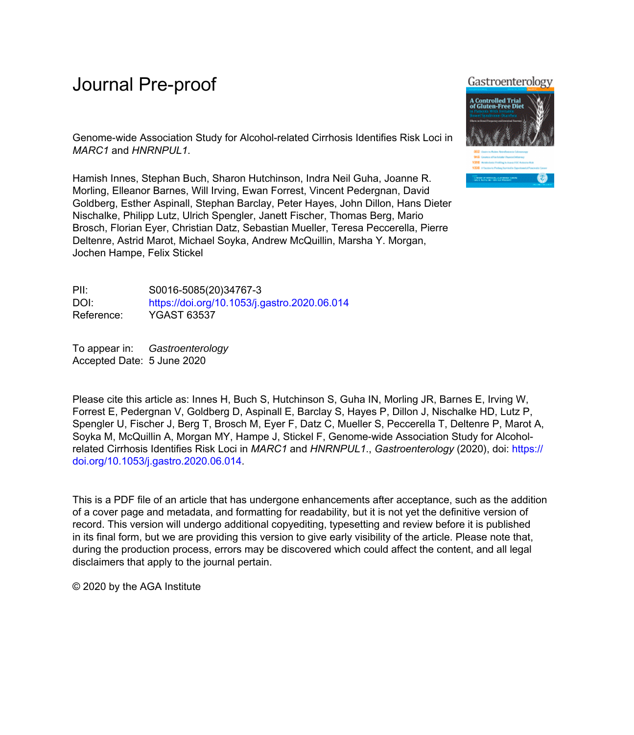## Journal Pre-proof

Genome-wide Association Study for Alcohol-related Cirrhosis Identifies Risk Loci in *MARC1* and *HNRNPUL1*.

Hamish Innes, Stephan Buch, Sharon Hutchinson, Indra Neil Guha, Joanne R. Morling, Elleanor Barnes, Will Irving, Ewan Forrest, Vincent Pedergnan, David Goldberg, Esther Aspinall, Stephan Barclay, Peter Hayes, John Dillon, Hans Dieter Nischalke, Philipp Lutz, Ulrich Spengler, Janett Fischer, Thomas Berg, Mario Brosch, Florian Eyer, Christian Datz, Sebastian Mueller, Teresa Peccerella, Pierre Deltenre, Astrid Marot, Michael Soyka, Andrew McQuillin, Marsha Y. Morgan, Jochen Hampe, Felix Stickel



PII: S0016-5085(20)34767-3 DOI: <https://doi.org/10.1053/j.gastro.2020.06.014> Reference: YGAST 63537

To appear in: Gastroenterology Accepted Date: 5 June 2020

Please cite this article as: Innes H, Buch S, Hutchinson S, Guha IN, Morling JR, Barnes E, Irving W, Forrest E, Pedergnan V, Goldberg D, Aspinall E, Barclay S, Hayes P, Dillon J, Nischalke HD, Lutz P, Spengler U, Fischer J, Berg T, Brosch M, Eyer F, Datz C, Mueller S, Peccerella T, Deltenre P, Marot A, Soyka M, McQuillin A, Morgan MY, Hampe J, Stickel F, Genome-wide Association Study for Alcoholrelated Cirrhosis Identifies Risk Loci in *MARC1* and *HNRNPUL1*., *Gastroenterology* (2020), doi: [https://](https://doi.org/10.1053/j.gastro.2020.06.014) [doi.org/10.1053/j.gastro.2020.06.014](https://doi.org/10.1053/j.gastro.2020.06.014).

This is a PDF file of an article that has undergone enhancements after acceptance, such as the addition of a cover page and metadata, and formatting for readability, but it is not yet the definitive version of record. This version will undergo additional copyediting, typesetting and review before it is published in its final form, but we are providing this version to give early visibility of the article. Please note that, during the production process, errors may be discovered which could affect the content, and all legal disclaimers that apply to the journal pertain.

© 2020 by the AGA Institute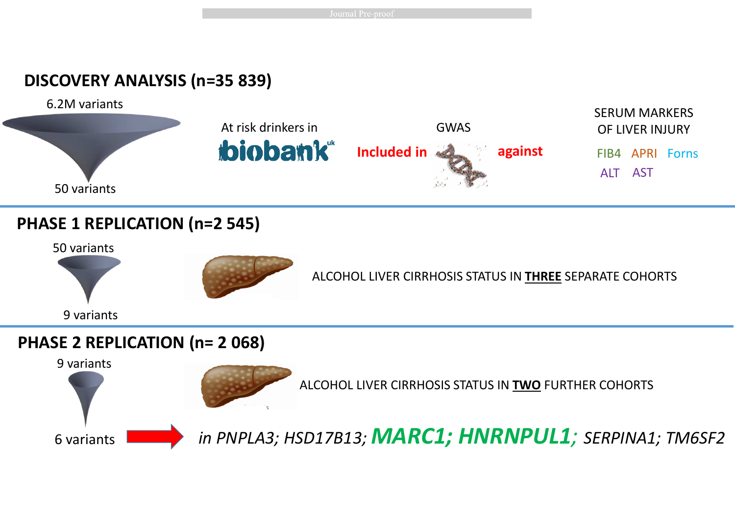

## **DISCOVERY ANALYSIS (n=35 839)**



# **PHASE 1 REPLICATION (n=2 545)**

6 variants



*in PNPLA3; HSD17B13; MARC1; HNRNPUL1; SERPINA1; TM6SF2*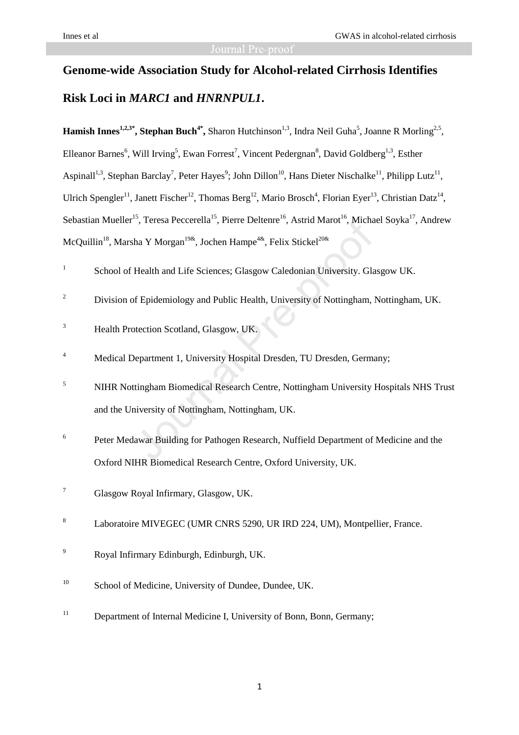# **Genome-wide Association Study for Alcohol-related Cirrhosis Identifies Risk Loci in** *MARC1* **and** *HNRNPUL1***.**

Hamish Innes<sup>1,2,3\*</sup>, Stephan Buch<sup>4\*</sup>, Sharon Hutchinson<sup>1,3</sup>, Indra Neil Guha<sup>5</sup>, Joanne R Morling<sup>2,5</sup>, Elleanor Barnes<sup>6</sup>, Will Irving<sup>5</sup>, Ewan Forrest<sup>7</sup>, Vincent Pedergnan<sup>8</sup>, David Goldberg<sup>1,3</sup>, Esther Aspinall<sup>1,3</sup>, Stephan Barclay<sup>7</sup>, Peter Hayes<sup>9</sup>; John Dillon<sup>10</sup>, Hans Dieter Nischalke<sup>11</sup>, Philipp Lutz<sup>11</sup>, Ulrich Spengler<sup>11</sup>, Janett Fischer<sup>12</sup>, Thomas Berg<sup>12</sup>, Mario Brosch<sup>4</sup>, Florian Eyer<sup>13</sup>, Christian Datz<sup>14</sup>, Sebastian Mueller<sup>15</sup>, Teresa Peccerella<sup>15</sup>, Pierre Deltenre<sup>16</sup>, Astrid Marot<sup>16</sup>, Michael Soyka<sup>17</sup>, Andrew McQuillin<sup>18</sup>, Marsha Y Morgan<sup>19&</sup>, Jochen Hampe<sup>4&</sup>, Felix Stickel<sup>20&</sup>

1 School of Health and Life Sciences; Glasgow Caledonian University. Glasgow UK.

- 2 Division of Epidemiology and Public Health, University of Nottingham, Nottingham, UK.
- 3 Health Protection Scotland, Glasgow, UK.
- 4 Medical Department 1, University Hospital Dresden, TU Dresden, Germany;
- 5 NIHR Nottingham Biomedical Research Centre, Nottingham University Hospitals NHS Trust and the University of Nottingham, Nottingham, UK.
- <sup>6</sup> Peter Medawar Building for Pathogen Research, Nuffield Department of Medicine and the Oxford NIHR Biomedical Research Centre, Oxford University, UK.

- 8 Laboratoire MIVEGEC (UMR CNRS 5290, UR IRD 224, UM), Montpellier, France.
- <sup>9</sup> Royal Infirmary Edinburgh, Edinburgh, UK.
- <sup>10</sup> School of Medicine, University of Dundee, Dundee, UK.
- <sup>11</sup> Department of Internal Medicine I, University of Bonn, Bonn, Germany;

<sup>7</sup> Glasgow Royal Infirmary, Glasgow, UK.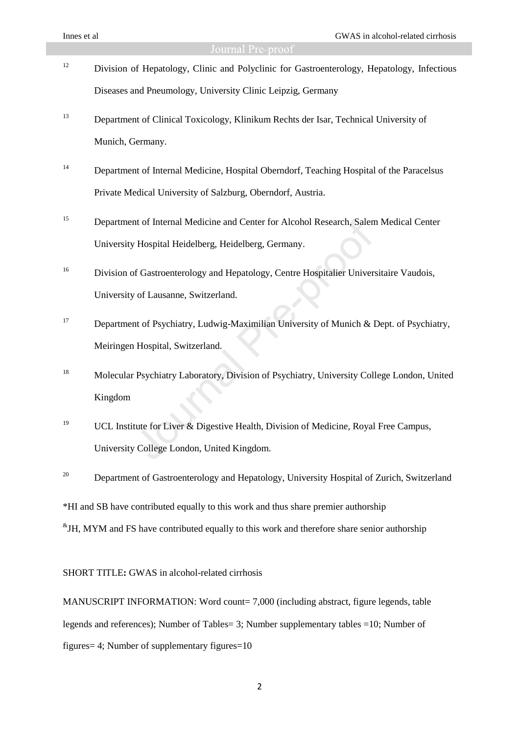- 
- <sup>12</sup> Division of Hepatology, Clinic and Polyclinic for Gastroenterology, Hepatology, Infectious Diseases and Pneumology, University Clinic Leipzig, Germany
- <sup>13</sup> Department of Clinical Toxicology, Klinikum Rechts der Isar, Technical University of Munich, Germany.
- <sup>14</sup> Department of Internal Medicine, Hospital Oberndorf, Teaching Hospital of the Paracelsus Private Medical University of Salzburg, Oberndorf, Austria.
- <sup>15</sup> Department of Internal Medicine and Center for Alcohol Research, Salem Medical Center University Hospital Heidelberg, Heidelberg, Germany.
- <sup>16</sup> Division of Gastroenterology and Hepatology, Centre Hospitalier Universitaire Vaudois, University of Lausanne, Switzerland.
- <sup>17</sup> Department of Psychiatry, Ludwig-Maximilian University of Munich & Dept. of Psychiatry, Meiringen Hospital, Switzerland.
- <sup>18</sup>Molecular Psychiatry Laboratory, Division of Psychiatry, University College London, United Kingdom
- <sup>19</sup> UCL Institute for Liver & Digestive Health, Division of Medicine, Royal Free Campus, University College London, United Kingdom.
- <sup>20</sup> Department of Gastroenterology and Hepatology, University Hospital of Zurich, Switzerland

\*HI and SB have contributed equally to this work and thus share premier authorship

 $*$ JH, MYM and FS have contributed equally to this work and therefore share senior authorship

SHORT TITLE**:** GWAS in alcohol-related cirrhosis

MANUSCRIPT INFORMATION: Word count= 7,000 (including abstract, figure legends, table legends and references); Number of Tables= 3; Number supplementary tables =10; Number of figures= 4; Number of supplementary figures=10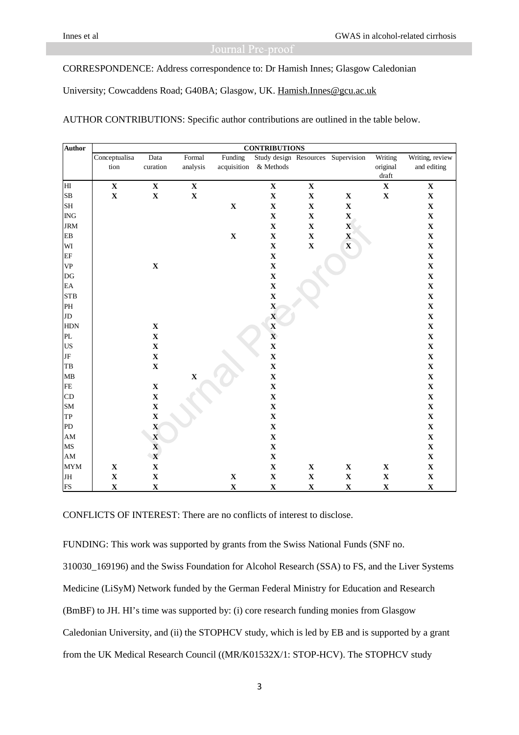### CORRESPONDENCE: Address correspondence to: Dr Hamish Innes; Glasgow Caledonian

University; Cowcaddens Road; G40BA; Glasgow, UK. Hamish.Innes@gcu.ac.uk

| AUTHOR CONTRIBUTIONS: Specific author contributions are outlined in the table below. |
|--------------------------------------------------------------------------------------|
|--------------------------------------------------------------------------------------|

| <b>Author</b>                                    | <b>CONTRIBUTIONS</b>    |                  |                    |             |                                                             |              |                           |                                               |                                |  |
|--------------------------------------------------|-------------------------|------------------|--------------------|-------------|-------------------------------------------------------------|--------------|---------------------------|-----------------------------------------------|--------------------------------|--|
|                                                  | Conceptualisa<br>tion   | Data<br>curation | Formal<br>analysis | Funding     | Study design Resources Supervision<br>acquisition & Methods |              |                           | Writing<br>original<br>$\operatorname{draff}$ | Writing, review<br>and editing |  |
| H                                                | $\mathbf X$             | $\mathbf X$      | $\mathbf X$        |             | $\mathbf X$                                                 | $\mathbf X$  |                           | $\mathbf X$                                   | $\mathbf X$                    |  |
| $\rm SB$                                         | $\mathbf X$             | $\mathbf X$      | $\mathbf X$        |             | $\mathbf X$                                                 | $\mathbf X$  | $\mathbf X$               | $\mathbf X$                                   | $\mathbf X$                    |  |
| SH                                               |                         |                  |                    | $\mathbf X$ | $\mathbf X$                                                 | $\mathbf X$  | $\mathbf X$               |                                               | $\mathbf X$                    |  |
| $\mathbb{N}\mathbf{G}$                           |                         |                  |                    |             | $\mathbf X$                                                 | $\mathbf X$  | $\mathbf{X}$              |                                               | $\mathbf X$                    |  |
| <b>JRM</b>                                       |                         |                  |                    |             | $\mathbf X$                                                 | $\mathbf X$  | $\mathbf X$               |                                               | $\mathbf X$                    |  |
| ${\bf EB}$                                       |                         |                  |                    | $\mathbf X$ | $\mathbf X$                                                 | $\mathbf X$  | $\mathbf X$               |                                               | $\mathbf X$                    |  |
| WI                                               |                         |                  |                    |             | $\mathbf X$                                                 | $\mathbf{X}$ | $\boldsymbol{\mathrm{X}}$ |                                               | $\mathbf X$                    |  |
| $\rm EF$                                         |                         |                  |                    |             | $\overline{\mathbf{X}}$                                     |              |                           |                                               | $\mathbf X$                    |  |
| $\ensuremath{\mathbf{V}}\ensuremath{\mathbf{P}}$ |                         | $\mathbf X$      |                    |             | $\mathbf X$                                                 |              |                           |                                               | $\mathbf X$                    |  |
| $_{\rm DG}$                                      |                         |                  |                    |             | $\mathbf X$                                                 |              |                           |                                               | $\mathbf X$                    |  |
| EA                                               |                         |                  |                    |             | $\mathbf X$                                                 |              |                           |                                               | $\mathbf X$                    |  |
| <b>STB</b>                                       |                         |                  |                    |             | $\mathbf X$                                                 |              |                           |                                               | $\mathbf X$                    |  |
| $\mathbf{PH}$                                    |                         |                  |                    |             | $\mathbf X$                                                 |              |                           |                                               | $\mathbf X$                    |  |
| $\rm JD$                                         |                         |                  |                    |             | $\boldsymbol{\mathrm{X}}$                                   |              |                           |                                               | $\mathbf X$                    |  |
| <b>HDN</b>                                       |                         | $\mathbf X$      |                    |             | $\boldsymbol{\mathrm{X}}$                                   |              |                           |                                               | $\mathbf X$                    |  |
| $\mathbf{PL}$                                    |                         | $\mathbf X$      |                    |             | $\overline{\mathbf{X}}$                                     |              |                           |                                               | $\mathbf X$                    |  |
| <b>US</b>                                        |                         | $\mathbf X$      |                    |             | $\mathbf X$                                                 |              |                           |                                               | $\mathbf X$                    |  |
| $\rm{JF}$                                        |                         | $\mathbf X$      |                    |             | $\overline{\mathbf{X}}$                                     |              |                           |                                               | $\mathbf X$                    |  |
| $_{\rm TB}$                                      |                         | $\mathbf X$      |                    |             | $\mathbf X$                                                 |              |                           |                                               | $\mathbf X$                    |  |
| MB                                               |                         |                  | $\mathbf X$        |             | $\mathbf{\overline{X}}$                                     |              |                           |                                               | $\mathbf X$                    |  |
| $\rm FE$                                         |                         | $\mathbf X$      |                    |             | $\mathbf X$                                                 |              |                           |                                               | $\mathbf X$                    |  |
| CD                                               |                         | $\mathbf X$      |                    |             | $\mathbf X$                                                 |              |                           |                                               | $\mathbf X$                    |  |
| SM                                               |                         | $\mathbf X$      |                    |             | $\mathbf X$                                                 |              |                           |                                               | $\mathbf X$                    |  |
| TP                                               |                         | $\mathbf X$      |                    |             | $\mathbf X$                                                 |              |                           |                                               | $\mathbf X$                    |  |
| PD                                               |                         | $\mathbf X$      |                    |             | $\mathbf X$                                                 |              |                           |                                               | $\mathbf X$                    |  |
| $\mathbf{A}\mathbf{M}$                           |                         | $\mathbf X$      |                    |             | $\mathbf X$                                                 |              |                           |                                               | $\mathbf X$                    |  |
| $\overline{\text{MS}}$                           |                         | $\mathbf X$      |                    |             | $\mathbf X$                                                 |              |                           |                                               | $\bar{\mathbf{X}}$             |  |
| $\mathbf{A}\mathbf{M}$                           |                         | $\mathbf X$      |                    |             | $\mathbf X$                                                 |              |                           |                                               | $\mathbf X$                    |  |
| <b>MYM</b>                                       | $\mathbf X$             | $\mathbf X$      |                    |             | $\mathbf X$                                                 | $\mathbf X$  | $\mathbf X$               | $\mathbf X$                                   | $\mathbf X$                    |  |
| $\mathbf{J} \mathbf{H}$                          | $\mathbf{\overline{X}}$ | $\mathbf X$      |                    | $\mathbf X$ | $\mathbf X$                                                 | $\mathbf X$  | $\mathbf X$               | $\mathbf X$                                   | $\mathbf X$                    |  |
| <b>FS</b>                                        | $\mathbf X$             | $\mathbf X$      |                    | $\mathbf X$ | $\mathbf X$                                                 | $\mathbf X$  | $\mathbf X$               | $\mathbf X$                                   | $\mathbf X$                    |  |

CONFLICTS OF INTEREST: There are no conflicts of interest to disclose.

FUNDING: This work was supported by grants from the Swiss National Funds (SNF no. 310030\_169196) and the Swiss Foundation for Alcohol Research (SSA) to FS, and the Liver Systems Medicine (LiSyM) Network funded by the German Federal Ministry for Education and Research (BmBF) to JH. HI's time was supported by: (i) core research funding monies from Glasgow Caledonian University, and (ii) the STOPHCV study, which is led by EB and is supported by a grant from the UK Medical Research Council ((MR/K01532X/1: STOP-HCV). The STOPHCV study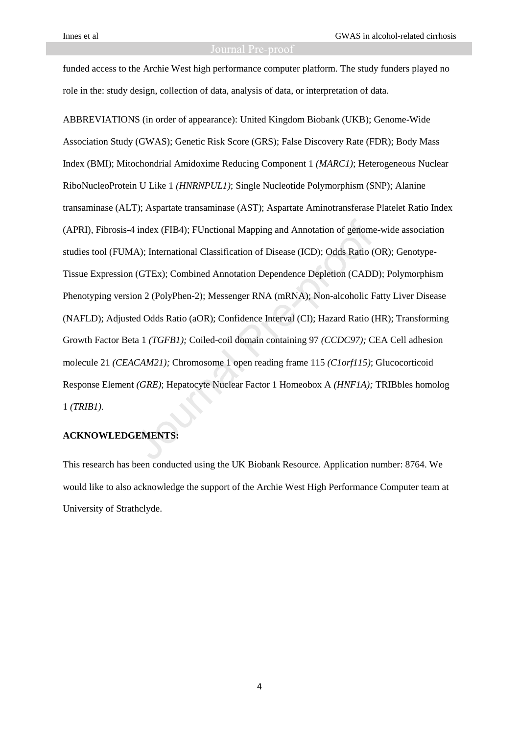funded access to the Archie West high performance computer platform. The study funders played no role in the: study design, collection of data, analysis of data, or interpretation of data.

ABBREVIATIONS (in order of appearance): United Kingdom Biobank (UKB); Genome-Wide Association Study (GWAS); Genetic Risk Score (GRS); False Discovery Rate (FDR); Body Mass Index (BMI); Mitochondrial Amidoxime Reducing Component 1 *(MARC1)*; Heterogeneous Nuclear RiboNucleoProtein U Like 1 *(HNRNPUL1)*; Single Nucleotide Polymorphism (SNP); Alanine transaminase (ALT); Aspartate transaminase (AST); Aspartate Aminotransferase Platelet Ratio Index (APRI), Fibrosis-4 index (FIB4); FUnctional Mapping and Annotation of genome-wide association studies tool (FUMA); International Classification of Disease (ICD); Odds Ratio (OR); Genotype-Tissue Expression (GTEx); Combined Annotation Dependence Depletion (CADD); Polymorphism Phenotyping version 2 (PolyPhen-2); Messenger RNA (mRNA); Non-alcoholic Fatty Liver Disease (NAFLD); Adjusted Odds Ratio (aOR); Confidence Interval (CI); Hazard Ratio (HR); Transforming Growth Factor Beta 1 *(TGFB1);* Coiled-coil domain containing 97 *(CCDC97);* CEA Cell adhesion molecule 21 *(CEACAM21);* Chromosome 1 open reading frame 115 *(C1orf115)*; Glucocorticoid Response Element *(GRE)*; Hepatocyte Nuclear Factor 1 Homeobox A *(HNF1A);* TRIBbles homolog 1 *(TRIB1).* 

#### **ACKNOWLEDGEMENTS:**

This research has been conducted using the UK Biobank Resource. Application number: 8764. We would like to also acknowledge the support of the Archie West High Performance Computer team at University of Strathclyde.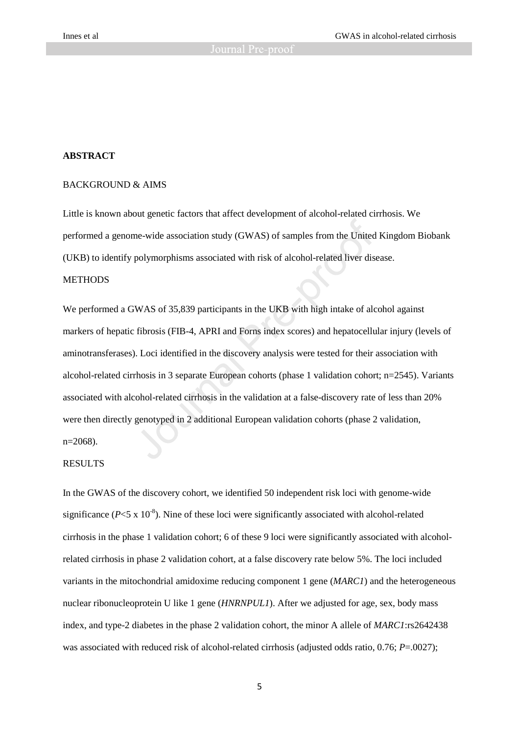#### **ABSTRACT**

#### BACKGROUND & AIMS

Little is known about genetic factors that affect development of alcohol-related cirrhosis. We performed a genome-wide association study (GWAS) of samples from the United Kingdom Biobank (UKB) to identify polymorphisms associated with risk of alcohol-related liver disease.

#### **METHODS**

We performed a GWAS of 35,839 participants in the UKB with high intake of alcohol against markers of hepatic fibrosis (FIB-4, APRI and Forns index scores) and hepatocellular injury (levels of aminotransferases). Loci identified in the discovery analysis were tested for their association with alcohol-related cirrhosis in 3 separate European cohorts (phase 1 validation cohort; n=2545). Variants associated with alcohol-related cirrhosis in the validation at a false-discovery rate of less than 20% were then directly genotyped in 2 additional European validation cohorts (phase 2 validation,  $n=2068$ ).

### RESULTS

In the GWAS of the discovery cohort, we identified 50 independent risk loci with genome-wide significance ( $P \le 5 \times 10^{-8}$ ). Nine of these loci were significantly associated with alcohol-related cirrhosis in the phase 1 validation cohort; 6 of these 9 loci were significantly associated with alcoholrelated cirrhosis in phase 2 validation cohort, at a false discovery rate below 5%. The loci included variants in the mitochondrial amidoxime reducing component 1 gene (*MARC1*) and the heterogeneous nuclear ribonucleoprotein U like 1 gene (*HNRNPUL1*). After we adjusted for age, sex, body mass index, and type-2 diabetes in the phase 2 validation cohort, the minor A allele of *MARC1*:rs2642438 was associated with reduced risk of alcohol-related cirrhosis (adjusted odds ratio, 0.76; *P*=.0027);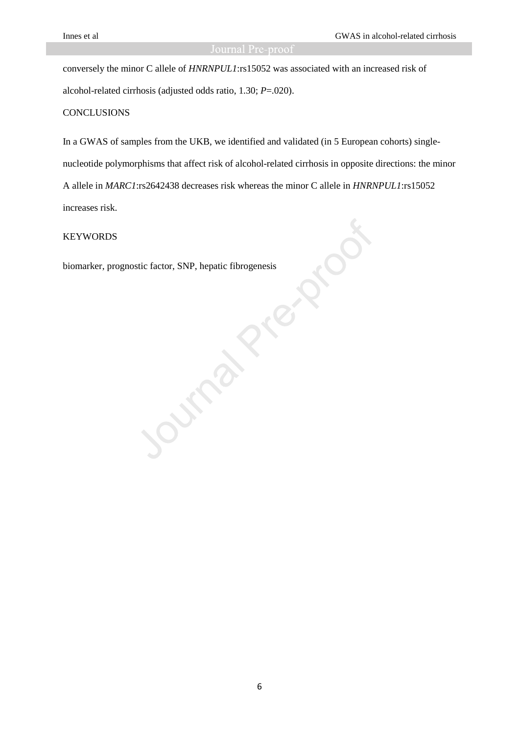conversely the minor C allele of *HNRNPUL1*:rs15052 was associated with an increased risk of alcohol-related cirrhosis (adjusted odds ratio, 1.30; *P*=.020).

### **CONCLUSIONS**

In a GWAS of samples from the UKB, we identified and validated (in 5 European cohorts) singlenucleotide polymorphisms that affect risk of alcohol-related cirrhosis in opposite directions: the minor A allele in *MARC1*:rs2642438 decreases risk whereas the minor C allele in *HNRNPUL1*:rs15052 increases risk.

### **KEYWORDS**

biomarker, prognostic factor, SNP, hepatic fibrogenesis<br>
and the contract of the contract of the contract of the contract of the contract of the contract of the contract of the contract of the contract of the contract of t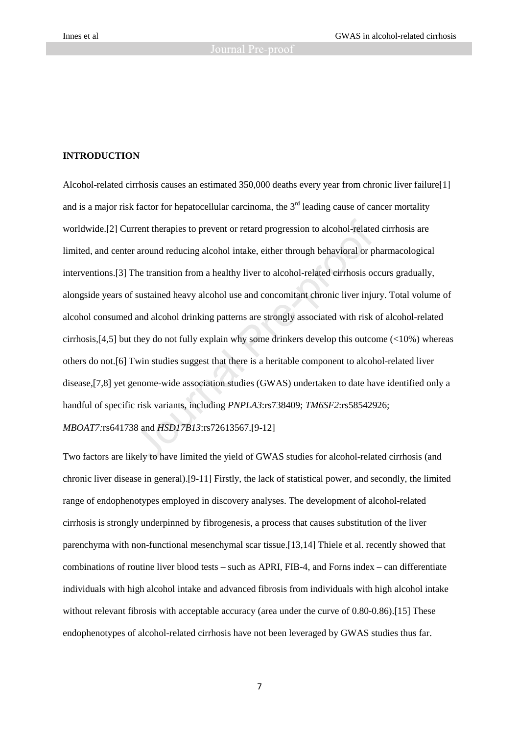#### **INTRODUCTION**

Alcohol-related cirrhosis causes an estimated 350,000 deaths every year from chronic liver failure[1] and is a major risk factor for hepatocellular carcinoma, the  $3<sup>rd</sup>$  leading cause of cancer mortality worldwide.[2] Current therapies to prevent or retard progression to alcohol-related cirrhosis are limited, and center around reducing alcohol intake, either through behavioral or pharmacological interventions.[3] The transition from a healthy liver to alcohol-related cirrhosis occurs gradually, alongside years of sustained heavy alcohol use and concomitant chronic liver injury. Total volume of alcohol consumed and alcohol drinking patterns are strongly associated with risk of alcohol-related cirrhosis,[4,5] but they do not fully explain why some drinkers develop this outcome (<10%) whereas others do not.[6] Twin studies suggest that there is a heritable component to alcohol-related liver disease,[7,8] yet genome-wide association studies (GWAS) undertaken to date have identified only a handful of specific risk variants, including *PNPLA3*:rs738409; *TM6SF2*:rs58542926;

### *MBOAT7:*rs641738 and *HSD17B13*:rs72613567.[9-12]

Two factors are likely to have limited the yield of GWAS studies for alcohol-related cirrhosis (and chronic liver disease in general).[9-11] Firstly, the lack of statistical power, and secondly, the limited range of endophenotypes employed in discovery analyses. The development of alcohol-related cirrhosis is strongly underpinned by fibrogenesis, a process that causes substitution of the liver parenchyma with non-functional mesenchymal scar tissue.[13,14] Thiele et al. recently showed that combinations of routine liver blood tests – such as APRI, FIB-4, and Forns index – can differentiate individuals with high alcohol intake and advanced fibrosis from individuals with high alcohol intake without relevant fibrosis with acceptable accuracy (area under the curve of 0.80-0.86).[15] These endophenotypes of alcohol-related cirrhosis have not been leveraged by GWAS studies thus far.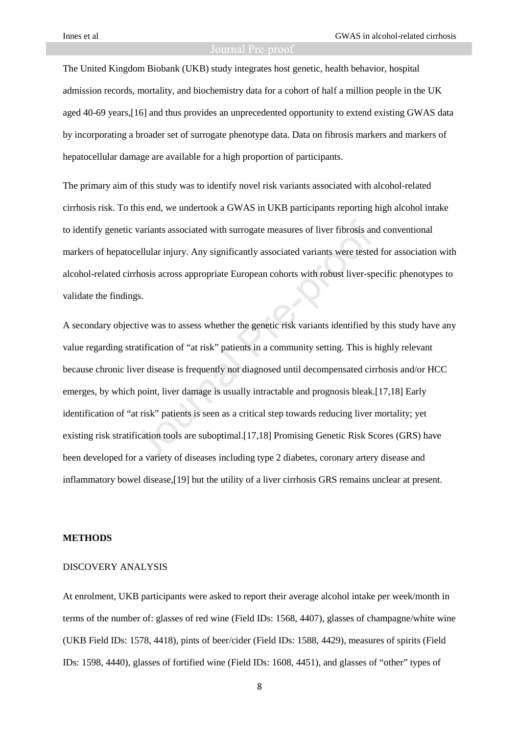### Journal Pre-proof

The United Kingdom Biobank (UKB) study integrates host genetic, health behavior, hospital admission records, mortality, and biochemistry data for a cohort of half a million people in the UK aged 40-69 years,[16] and thus provides an unprecedented opportunity to extend existing GWAS data by incorporating a broader set of surrogate phenotype data. Data on fibrosis markers and markers of hepatocellular damage are available for a high proportion of participants.

The primary aim of this study was to identify novel risk variants associated with alcohol-related cirrhosis risk. To this end, we undertook a GWAS in UKB participants reporting high alcohol intake to identify genetic variants associated with surrogate measures of liver fibrosis and conventional markers of hepatocellular injury. Any significantly associated variants were tested for association with alcohol-related cirrhosis across appropriate European cohorts with robust liver-specific phenotypes to validate the findings.

A secondary objective was to assess whether the genetic risk variants identified by this study have any value regarding stratification of "at risk" patients in a community setting. This is highly relevant because chronic liver disease is frequently not diagnosed until decompensated cirrhosis and/or HCC emerges, by which point, liver damage is usually intractable and prognosis bleak.[17,18] Early identification of "at risk" patients is seen as a critical step towards reducing liver mortality; yet existing risk stratification tools are suboptimal.[17,18] Promising Genetic Risk Scores (GRS) have been developed for a variety of diseases including type 2 diabetes, coronary artery disease and inflammatory bowel disease,[19] but the utility of a liver cirrhosis GRS remains unclear at present.

#### **METHODS**

#### DISCOVERY ANALYSIS

At enrolment, UKB participants were asked to report their average alcohol intake per week/month in terms of the number of: glasses of red wine (Field IDs: 1568, 4407), glasses of champagne/white wine (UKB Field IDs: 1578, 4418), pints of beer/cider (Field IDs: 1588, 4429), measures of spirits (Field IDs: 1598, 4440), glasses of fortified wine (Field IDs: 1608, 4451), and glasses of "other" types of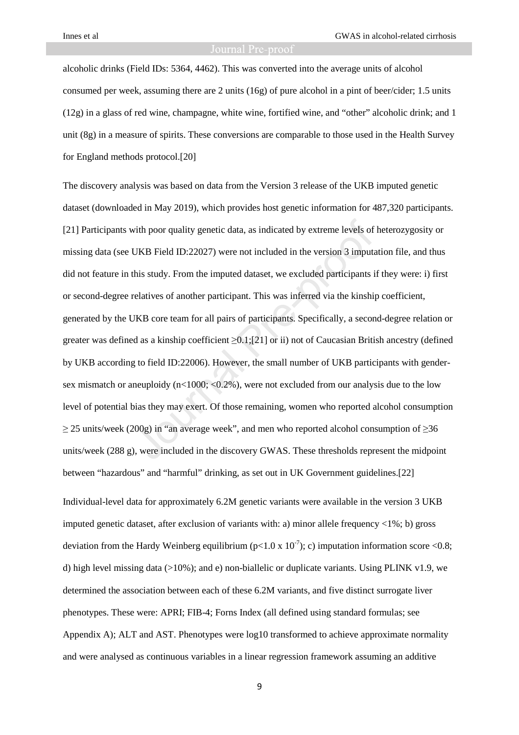alcoholic drinks (Field IDs: 5364, 4462). This was converted into the average units of alcohol consumed per week, assuming there are 2 units (16g) of pure alcohol in a pint of beer/cider; 1.5 units  $(12g)$  in a glass of red wine, champagne, white wine, fortified wine, and "other" alcoholic drink; and 1 unit (8g) in a measure of spirits. These conversions are comparable to those used in the Health Survey for England methods protocol.[20]

The discovery analysis was based on data from the Version 3 release of the UKB imputed genetic dataset (downloaded in May 2019), which provides host genetic information for 487,320 participants. [21] Participants with poor quality genetic data, as indicated by extreme levels of heterozygosity or missing data (see UKB Field ID:22027) were not included in the version 3 imputation file, and thus did not feature in this study. From the imputed dataset, we excluded participants if they were: i) first or second-degree relatives of another participant. This was inferred via the kinship coefficient, generated by the UKB core team for all pairs of participants. Specifically, a second-degree relation or greater was defined as a kinship coefficient  $\geq 0.1$ ;[21] or ii) not of Caucasian British ancestry (defined by UKB according to field ID:22006). However, the small number of UKB participants with gendersex mismatch or aneuploidy  $(n<1000; < 0.2\%)$ , were not excluded from our analysis due to the low level of potential bias they may exert. Of those remaining, women who reported alcohol consumption  $\geq$  25 units/week (200g) in "an average week", and men who reported alcohol consumption of  $\geq$ 36 units/week (288 g), were included in the discovery GWAS. These thresholds represent the midpoint between "hazardous" and "harmful" drinking, as set out in UK Government guidelines.[22]

Individual-level data for approximately 6.2M genetic variants were available in the version 3 UKB imputed genetic dataset, after exclusion of variants with: a) minor allele frequency  $\langle 1\%; b \rangle$  gross deviation from the Hardy Weinberg equilibrium ( $p<1.0 \times 10^{-7}$ ); c) imputation information score <0.8; d) high level missing data (>10%); and e) non-biallelic or duplicate variants. Using PLINK v1.9, we determined the association between each of these 6.2M variants, and five distinct surrogate liver phenotypes. These were: APRI; FIB-4; Forns Index (all defined using standard formulas; see Appendix A); ALT and AST. Phenotypes were log10 transformed to achieve approximate normality and were analysed as continuous variables in a linear regression framework assuming an additive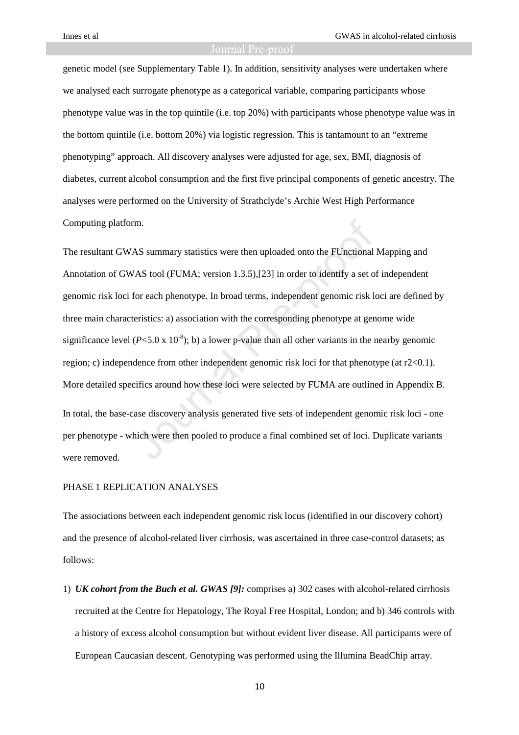genetic model (see Supplementary Table 1). In addition, sensitivity analyses were undertaken where we analysed each surrogate phenotype as a categorical variable, comparing participants whose phenotype value was in the top quintile (i.e. top 20%) with participants whose phenotype value was in the bottom quintile (i.e. bottom 20%) via logistic regression. This is tantamount to an "extreme phenotyping" approach. All discovery analyses were adjusted for age, sex, BMI, diagnosis of diabetes, current alcohol consumption and the first five principal components of genetic ancestry. The analyses were performed on the University of Strathclyde's Archie West High Performance Computing platform.

The resultant GWAS summary statistics were then uploaded onto the FUnctional Mapping and Annotation of GWAS tool (FUMA; version 1.3.5),[23] in order to identify a set of independent genomic risk loci for each phenotype. In broad terms, independent genomic risk loci are defined by three main characteristics: a) association with the corresponding phenotype at genome wide significance level ( $P \le 5.0 \times 10^{-8}$ ); b) a lower p-value than all other variants in the nearby genomic region; c) independence from other independent genomic risk loci for that phenotype (at  $r2<0.1$ ). More detailed specifics around how these loci were selected by FUMA are outlined in Appendix B.

In total, the base-case discovery analysis generated five sets of independent genomic risk loci - one per phenotype - which were then pooled to produce a final combined set of loci. Duplicate variants were removed.

#### PHASE 1 REPLICATION ANALYSES

The associations between each independent genomic risk locus (identified in our discovery cohort) and the presence of alcohol-related liver cirrhosis, was ascertained in three case-control datasets; as follows:

1) *UK cohort from the Buch et al. GWAS [9]:* comprises a) 302 cases with alcohol-related cirrhosis recruited at the Centre for Hepatology, The Royal Free Hospital, London; and b) 346 controls with a history of excess alcohol consumption but without evident liver disease. All participants were of European Caucasian descent. Genotyping was performed using the Illumina BeadChip array.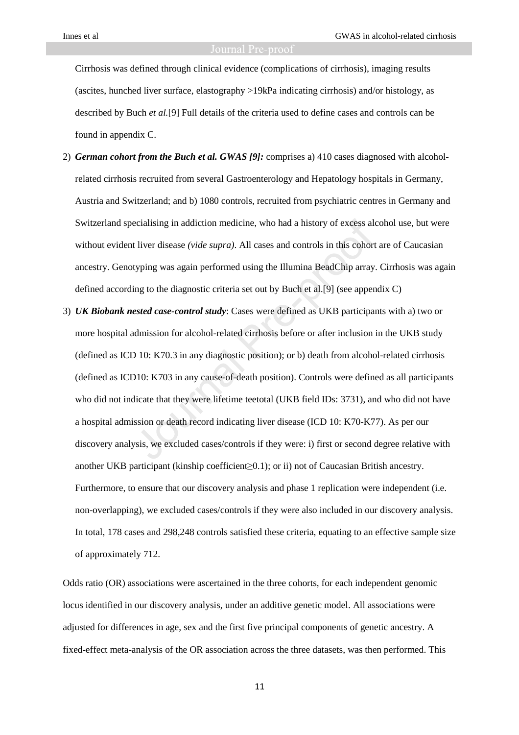Cirrhosis was defined through clinical evidence (complications of cirrhosis), imaging results (ascites, hunched liver surface, elastography >19kPa indicating cirrhosis) and/or histology, as described by Buch *et al.*[9] Full details of the criteria used to define cases and controls can be found in appendix C.

- 2) *German cohort from the Buch et al. GWAS [9]:* comprises a) 410 cases diagnosed with alcoholrelated cirrhosis recruited from several Gastroenterology and Hepatology hospitals in Germany, Austria and Switzerland; and b) 1080 controls, recruited from psychiatric centres in Germany and Switzerland specialising in addiction medicine, who had a history of excess alcohol use, but were without evident liver disease *(vide supra)*. All cases and controls in this cohort are of Caucasian ancestry. Genotyping was again performed using the Illumina BeadChip array. Cirrhosis was again defined according to the diagnostic criteria set out by Buch et al.[9] (see appendix C)
- 3) *UK Biobank nested case-control study*: Cases were defined as UKB participants with a) two or more hospital admission for alcohol-related cirrhosis before or after inclusion in the UKB study (defined as ICD 10: K70.3 in any diagnostic position); or b) death from alcohol-related cirrhosis (defined as ICD10: K703 in any cause-of-death position). Controls were defined as all participants who did not indicate that they were lifetime teetotal (UKB field IDs: 3731), and who did not have a hospital admission or death record indicating liver disease (ICD 10: K70-K77). As per our discovery analysis, we excluded cases/controls if they were: i) first or second degree relative with another UKB participant (kinship coefficient≥0.1); or ii) not of Caucasian British ancestry. Furthermore, to ensure that our discovery analysis and phase 1 replication were independent (i.e. non-overlapping), we excluded cases/controls if they were also included in our discovery analysis. In total, 178 cases and 298,248 controls satisfied these criteria, equating to an effective sample size of approximately 712.

Odds ratio (OR) associations were ascertained in the three cohorts, for each independent genomic locus identified in our discovery analysis, under an additive genetic model. All associations were adjusted for differences in age, sex and the first five principal components of genetic ancestry. A fixed-effect meta-analysis of the OR association across the three datasets, was then performed. This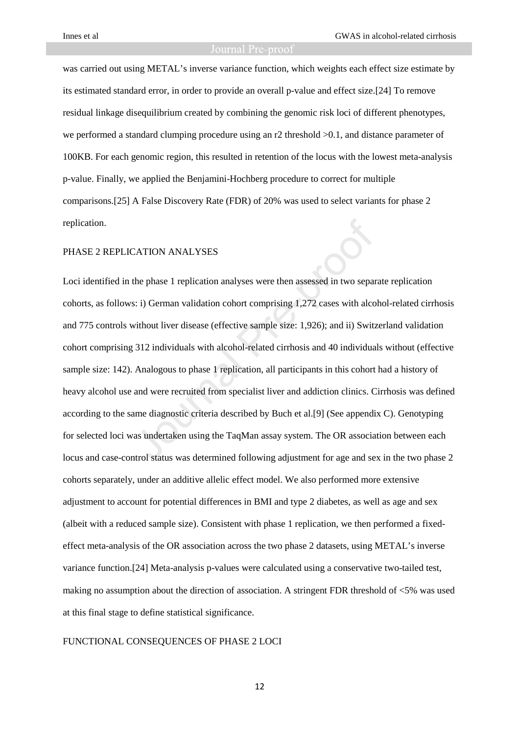was carried out using METAL's inverse variance function, which weights each effect size estimate by its estimated standard error, in order to provide an overall p-value and effect size.[24] To remove residual linkage disequilibrium created by combining the genomic risk loci of different phenotypes, we performed a standard clumping procedure using an r2 threshold >0.1, and distance parameter of 100KB. For each genomic region, this resulted in retention of the locus with the lowest meta-analysis p-value. Finally, we applied the Benjamini-Hochberg procedure to correct for multiple comparisons.[25] A False Discovery Rate (FDR) of 20% was used to select variants for phase 2 replication.

#### PHASE 2 REPLICATION ANALYSES

Loci identified in the phase 1 replication analyses were then assessed in two separate replication cohorts, as follows: i) German validation cohort comprising 1,272 cases with alcohol-related cirrhosis and 775 controls without liver disease (effective sample size: 1,926); and ii) Switzerland validation cohort comprising 312 individuals with alcohol-related cirrhosis and 40 individuals without (effective sample size: 142). Analogous to phase 1 replication, all participants in this cohort had a history of heavy alcohol use and were recruited from specialist liver and addiction clinics. Cirrhosis was defined according to the same diagnostic criteria described by Buch et al.[9] (See appendix C). Genotyping for selected loci was undertaken using the TaqMan assay system. The OR association between each locus and case-control status was determined following adjustment for age and sex in the two phase 2 cohorts separately, under an additive allelic effect model. We also performed more extensive adjustment to account for potential differences in BMI and type 2 diabetes, as well as age and sex (albeit with a reduced sample size). Consistent with phase 1 replication, we then performed a fixedeffect meta-analysis of the OR association across the two phase 2 datasets, using METAL's inverse variance function.[24] Meta-analysis p-values were calculated using a conservative two-tailed test, making no assumption about the direction of association. A stringent FDR threshold of <5% was used at this final stage to define statistical significance.

### FUNCTIONAL CONSEQUENCES OF PHASE 2 LOCI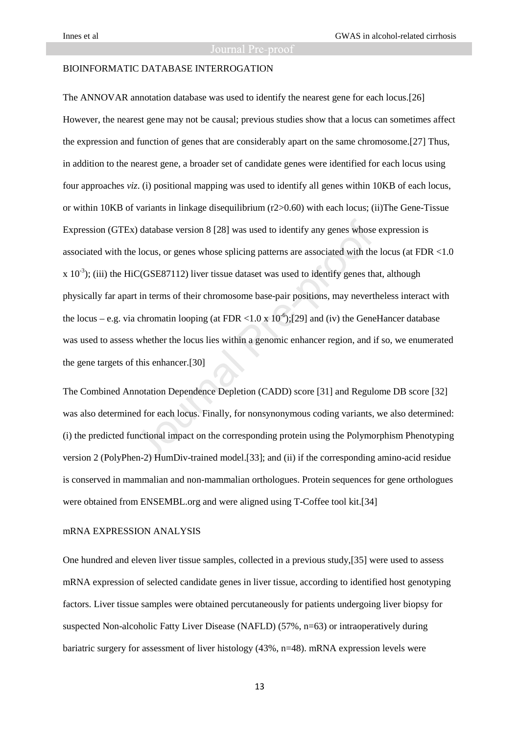#### Journal Pre-proof

#### BIOINFORMATIC DATABASE INTERROGATION

The ANNOVAR annotation database was used to identify the nearest gene for each locus.[26] However, the nearest gene may not be causal; previous studies show that a locus can sometimes affect the expression and function of genes that are considerably apart on the same chromosome.[27] Thus, in addition to the nearest gene, a broader set of candidate genes were identified for each locus using four approaches *viz*. (i) positional mapping was used to identify all genes within 10KB of each locus, or within 10KB of variants in linkage disequilibrium  $(r2>0.60)$  with each locus; (ii)The Gene-Tissue Expression (GTEx) database version 8 [28] was used to identify any genes whose expression is associated with the locus, or genes whose splicing patterns are associated with the locus (at FDR <1.0  $x$  10<sup>-3</sup>); (iii) the HiC(GSE87112) liver tissue dataset was used to identify genes that, although physically far apart in terms of their chromosome base-pair positions, may nevertheless interact with the locus – e.g. via chromatin looping (at FDR <1.0 x  $10^{-6}$ );[29] and (iv) the GeneHancer database was used to assess whether the locus lies within a genomic enhancer region, and if so, we enumerated the gene targets of this enhancer.[30]

The Combined Annotation Dependence Depletion (CADD) score [31] and Regulome DB score [32] was also determined for each locus. Finally, for nonsynonymous coding variants, we also determined: (i) the predicted functional impact on the corresponding protein using the Polymorphism Phenotyping version 2 (PolyPhen-2) HumDiv-trained model.[33]; and (ii) if the corresponding amino-acid residue is conserved in mammalian and non-mammalian orthologues. Protein sequences for gene orthologues were obtained from ENSEMBL.org and were aligned using T-Coffee tool kit.[34]

### mRNA EXPRESSION ANALYSIS

One hundred and eleven liver tissue samples, collected in a previous study,[35] were used to assess mRNA expression of selected candidate genes in liver tissue, according to identified host genotyping factors. Liver tissue samples were obtained percutaneously for patients undergoing liver biopsy for suspected Non-alcoholic Fatty Liver Disease (NAFLD) (57%, n=63) or intraoperatively during bariatric surgery for assessment of liver histology (43%, n=48). mRNA expression levels were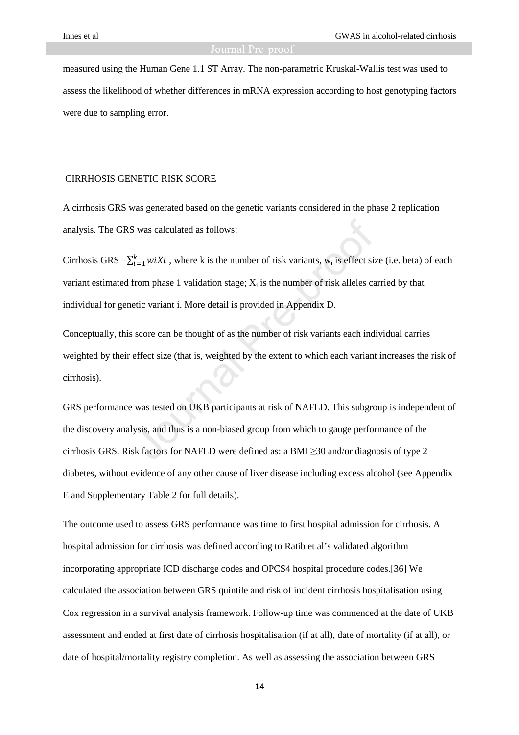### Journal Pre-proof

measured using the Human Gene 1.1 ST Array. The non-parametric Kruskal-Wallis test was used to assess the likelihood of whether differences in mRNA expression according to host genotyping factors were due to sampling error.

### CIRRHOSIS GENETIC RISK SCORE

A cirrhosis GRS was generated based on the genetic variants considered in the phase 2 replication analysis. The GRS was calculated as follows:

Cirrhosis GRS =  $\sum_{i=1}^{k} w i X i$ , where k is the number of risk variants, w<sub>i</sub> is effect size (i.e. beta) of each variant estimated from phase 1 validation stage;  $X_i$  is the number of risk alleles carried by that individual for genetic variant i. More detail is provided in Appendix D.

Conceptually, this score can be thought of as the number of risk variants each individual carries weighted by their effect size (that is, weighted by the extent to which each variant increases the risk of cirrhosis).

GRS performance was tested on UKB participants at risk of NAFLD. This subgroup is independent of the discovery analysis, and thus is a non-biased group from which to gauge performance of the cirrhosis GRS. Risk factors for NAFLD were defined as: a BMI ≥30 and/or diagnosis of type 2 diabetes, without evidence of any other cause of liver disease including excess alcohol (see Appendix E and Supplementary Table 2 for full details).

The outcome used to assess GRS performance was time to first hospital admission for cirrhosis. A hospital admission for cirrhosis was defined according to Ratib et al's validated algorithm incorporating appropriate ICD discharge codes and OPCS4 hospital procedure codes.[36] We calculated the association between GRS quintile and risk of incident cirrhosis hospitalisation using Cox regression in a survival analysis framework. Follow-up time was commenced at the date of UKB assessment and ended at first date of cirrhosis hospitalisation (if at all), date of mortality (if at all), or date of hospital/mortality registry completion. As well as assessing the association between GRS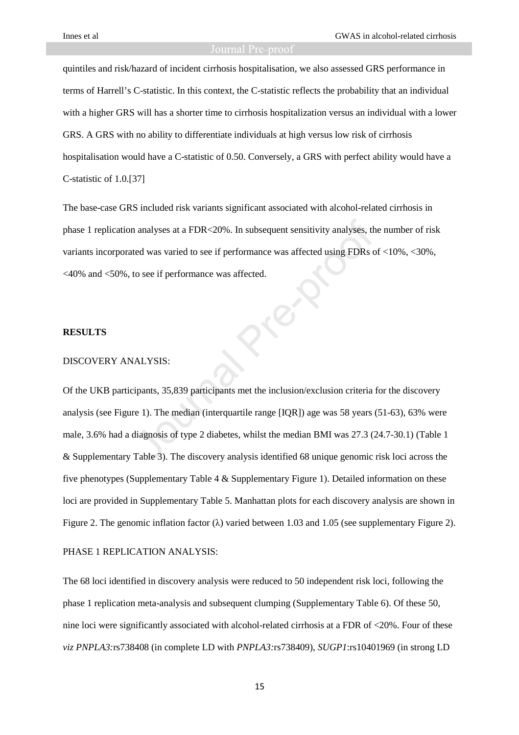quintiles and risk/hazard of incident cirrhosis hospitalisation, we also assessed GRS performance in terms of Harrell's C-statistic. In this context, the C-statistic reflects the probability that an individual with a higher GRS will has a shorter time to cirrhosis hospitalization versus an individual with a lower GRS. A GRS with no ability to differentiate individuals at high versus low risk of cirrhosis hospitalisation would have a C-statistic of 0.50. Conversely, a GRS with perfect ability would have a C-statistic of 1.0.[37]

The base-case GRS included risk variants significant associated with alcohol-related cirrhosis in phase 1 replication analyses at a FDR<20%. In subsequent sensitivity analyses, the number of risk variants incorporated was varied to see if performance was affected using FDRs of <10%, <30%, <40% and <50%, to see if performance was affected.

### **RESULTS**

#### DISCOVERY ANALYSIS:

Of the UKB participants, 35,839 participants met the inclusion/exclusion criteria for the discovery analysis (see Figure 1). The median (interquartile range [IQR]) age was 58 years (51-63), 63% were male, 3.6% had a diagnosis of type 2 diabetes, whilst the median BMI was 27.3 (24.7-30.1) (Table 1 & Supplementary Table 3). The discovery analysis identified 68 unique genomic risk loci across the five phenotypes (Supplementary Table 4 & Supplementary Figure 1). Detailed information on these loci are provided in Supplementary Table 5. Manhattan plots for each discovery analysis are shown in Figure 2. The genomic inflation factor  $(\lambda)$  varied between 1.03 and 1.05 (see supplementary Figure 2).

### PHASE 1 REPLICATION ANALYSIS:

The 68 loci identified in discovery analysis were reduced to 50 independent risk loci, following the phase 1 replication meta-analysis and subsequent clumping (Supplementary Table 6). Of these 50, nine loci were significantly associated with alcohol-related cirrhosis at a FDR of <20%. Four of these *viz PNPLA3:*rs738408 (in complete LD with *PNPLA3:*rs738409), *SUGP1*:rs10401969 (in strong LD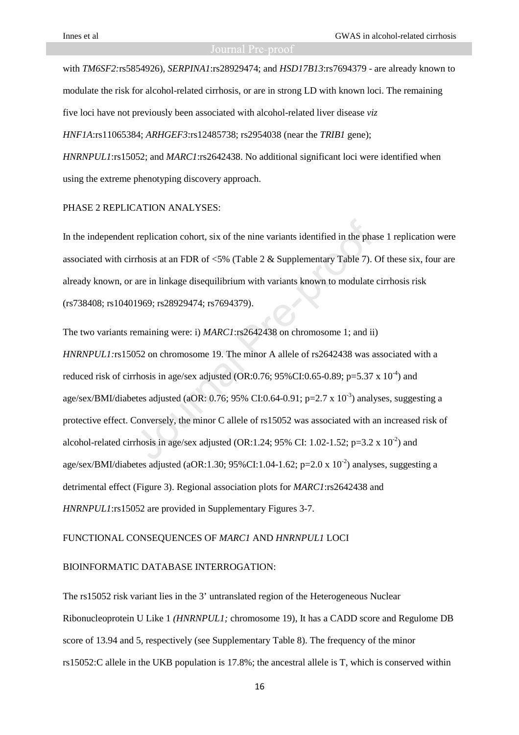with *TM6SF2:*rs5854926), *SERPINA1*:rs28929474; and *HSD17B13*:rs7694379 - are already known to modulate the risk for alcohol-related cirrhosis, or are in strong LD with known loci. The remaining five loci have not previously been associated with alcohol-related liver disease *viz HNF1A*:rs11065384; *ARHGEF3*:rs12485738; rs2954038 (near the *TRIB1* gene); *HNRNPUL1*:rs15052; and *MARC1*:rs2642438. No additional significant loci were identified when using the extreme phenotyping discovery approach.

#### PHASE 2 REPLICATION ANALYSES:

In the independent replication cohort, six of the nine variants identified in the phase 1 replication were associated with cirrhosis at an FDR of <5% (Table 2 & Supplementary Table 7). Of these six, four are already known, or are in linkage disequilibrium with variants known to modulate cirrhosis risk (rs738408; rs10401969; rs28929474; rs7694379).

The two variants remaining were: i) *MARC1*:rs2642438 on chromosome 1; and ii) *HNRNPUL1:*rs15052 on chromosome 19. The minor A allele of rs2642438 was associated with a reduced risk of cirrhosis in age/sex adjusted (OR:0.76; 95%CI:0.65-0.89; p=5.37 x  $10^{-4}$ ) and age/sex/BMI/diabetes adjusted (aOR: 0.76; 95% CI:0.64-0.91; p=2.7 x 10<sup>-3</sup>) analyses, suggesting a protective effect. Conversely, the minor C allele of rs15052 was associated with an increased risk of alcohol-related cirrhosis in age/sex adjusted (OR:1.24; 95% CI: 1.02-1.52; p=3.2 x  $10^{-2}$ ) and age/sex/BMI/diabetes adjusted (aOR:1.30;  $95\%$ CI:1.04-1.62; p=2.0 x 10<sup>-2</sup>) analyses, suggesting a detrimental effect (Figure 3). Regional association plots for *MARC1*:rs2642438 and *HNRNPUL1*:rs15052 are provided in Supplementary Figures 3-7.

### FUNCTIONAL CONSEQUENCES OF *MARC1* AND *HNRNPUL1* LOCI

#### BIOINFORMATIC DATABASE INTERROGATION:

The rs15052 risk variant lies in the 3' untranslated region of the Heterogeneous Nuclear Ribonucleoprotein U Like 1 *(HNRNPUL1;* chromosome 19), It has a CADD score and Regulome DB score of 13.94 and 5, respectively (see Supplementary Table 8). The frequency of the minor rs15052:C allele in the UKB population is 17.8%; the ancestral allele is T, which is conserved within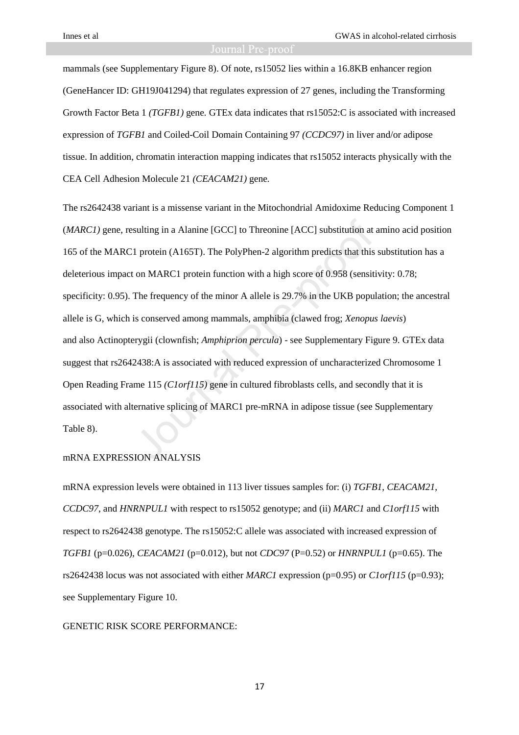mammals (see Supplementary Figure 8). Of note, rs15052 lies within a 16.8KB enhancer region (GeneHancer ID: GH19J041294) that regulates expression of 27 genes, including the Transforming Growth Factor Beta 1 *(TGFB1)* gene*.* GTEx data indicates that rs15052:C is associated with increased expression of *TGFB1* and Coiled-Coil Domain Containing 97 *(CCDC97)* in liver and/or adipose tissue. In addition, chromatin interaction mapping indicates that rs15052 interacts physically with the CEA Cell Adhesion Molecule 21 *(CEACAM21)* gene*.* 

The rs2642438 variant is a missense variant in the Mitochondrial Amidoxime Reducing Component 1 (*MARC1)* gene, resulting in a Alanine [GCC] to Threonine [ACC] substitution at amino acid position 165 of the MARC1 protein (A165T). The PolyPhen-2 algorithm predicts that this substitution has a deleterious impact on MARC1 protein function with a high score of 0.958 (sensitivity: 0.78; specificity: 0.95). The frequency of the minor A allele is 29.7% in the UKB population; the ancestral allele is G, which is conserved among mammals, amphibia (clawed frog; *Xenopus laevis*) and also Actinopterygii (clownfish; *Amphiprion percula*) - see Supplementary Figure 9. GTEx data suggest that rs2642438:A is associated with reduced expression of uncharacterized Chromosome 1 Open Reading Frame 115 *(C1orf115)* gene in cultured fibroblasts cells, and secondly that it is associated with alternative splicing of MARC1 pre-mRNA in adipose tissue (see Supplementary Table 8).

### mRNA EXPRESSION ANALYSIS

mRNA expression levels were obtained in 113 liver tissues samples for: (i) *TGFB1*, *CEACAM21*, *CCDC97*, and *HNRNPUL1* with respect to rs15052 genotype; and (ii) *MARC1* and *C1orf115* with respect to rs2642438 genotype. The rs15052:C allele was associated with increased expression of *TGFB1* (p=0.026), *CEACAM21* (p=0.012), but not *CDC97* (P=0.52) or *HNRNPUL1* (p=0.65). The rs2642438 locus was not associated with either *MARC1* expression (p=0.95) or *C1orf115* (p=0.93); see Supplementary Figure 10.

#### GENETIC RISK SCORE PERFORMANCE: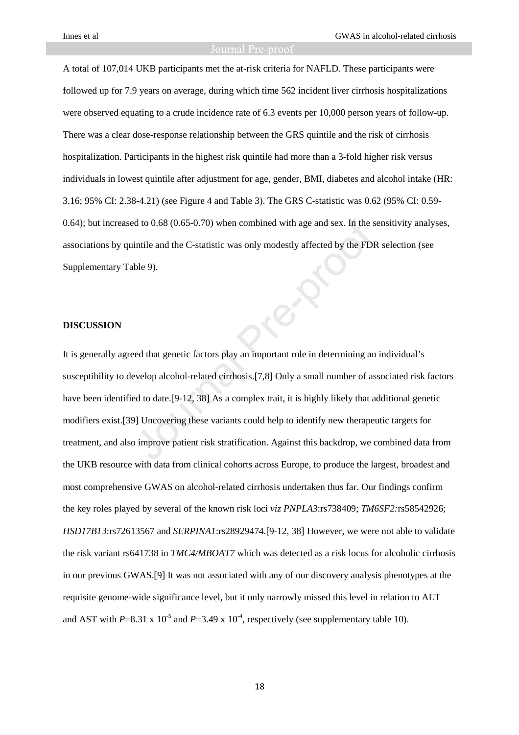A total of 107,014 UKB participants met the at-risk criteria for NAFLD. These participants were followed up for 7.9 years on average, during which time 562 incident liver cirrhosis hospitalizations were observed equating to a crude incidence rate of 6.3 events per 10,000 person years of follow-up. There was a clear dose-response relationship between the GRS quintile and the risk of cirrhosis hospitalization. Participants in the highest risk quintile had more than a 3-fold higher risk versus individuals in lowest quintile after adjustment for age, gender, BMI, diabetes and alcohol intake (HR: 3.16; 95% CI: 2.38-4.21) (see Figure 4 and Table 3). The GRS C-statistic was 0.62 (95% CI: 0.59- 0.64); but increased to 0.68 (0.65-0.70) when combined with age and sex. In the sensitivity analyses, associations by quintile and the C-statistic was only modestly affected by the FDR selection (see Supplementary Table 9).

#### **DISCUSSION**

It is generally agreed that genetic factors play an important role in determining an individual's susceptibility to develop alcohol-related cirrhosis.[7,8] Only a small number of associated risk factors have been identified to date.<sup>[9-12, 38]</sup> As a complex trait, it is highly likely that additional genetic modifiers exist.[39] Uncovering these variants could help to identify new therapeutic targets for treatment, and also improve patient risk stratification. Against this backdrop, we combined data from the UKB resource with data from clinical cohorts across Europe, to produce the largest, broadest and most comprehensive GWAS on alcohol-related cirrhosis undertaken thus far. Our findings confirm the key roles played by several of the known risk loci *viz PNPLA3*:rs738409; *TM6SF2:*rs58542926; *HSD17B13*:rs72613567 and *SERPINA1*:rs28929474.[9-12, 38] However, we were not able to validate the risk variant rs641738 in *TMC4/MBOAT7* which was detected as a risk locus for alcoholic cirrhosis in our previous GWAS.[9] It was not associated with any of our discovery analysis phenotypes at the requisite genome-wide significance level, but it only narrowly missed this level in relation to ALT and AST with  $P=8.31 \times 10^{-5}$  and  $P=3.49 \times 10^{-4}$ , respectively (see supplementary table 10).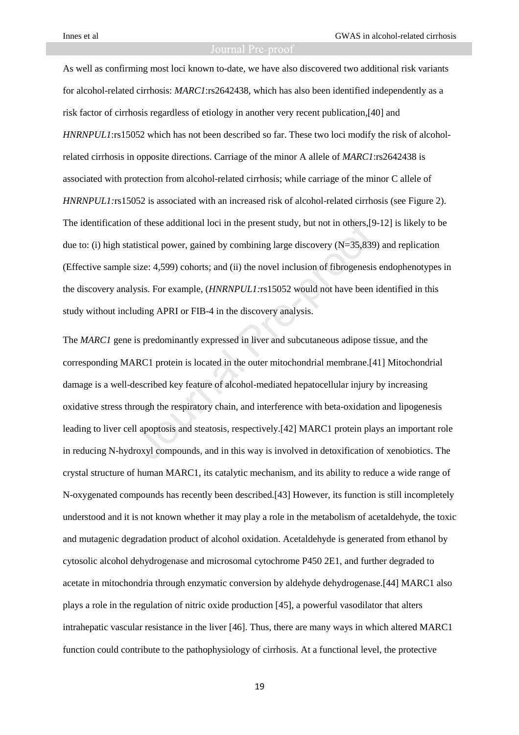As well as confirming most loci known to-date, we have also discovered two additional risk variants for alcohol-related cirrhosis: *MARC1*:rs2642438, which has also been identified independently as a risk factor of cirrhosis regardless of etiology in another very recent publication,[40] and *HNRNPUL1*:rs15052 which has not been described so far. These two loci modify the risk of alcoholrelated cirrhosis in opposite directions. Carriage of the minor A allele of *MARC1*:rs2642438 is associated with protection from alcohol-related cirrhosis; while carriage of the minor C allele of *HNRNPUL1*:rs15052 is associated with an increased risk of alcohol-related cirrhosis (see Figure 2). The identification of these additional loci in the present study, but not in others,[9-12] is likely to be due to: (i) high statistical power, gained by combining large discovery ( $N=35,839$ ) and replication (Effective sample size: 4,599) cohorts; and (ii) the novel inclusion of fibrogenesis endophenotypes in the discovery analysis. For example, (*HNRNPUL1:*rs15052 would not have been identified in this study without including APRI or FIB-4 in the discovery analysis.

The *MARC1* gene is predominantly expressed in liver and subcutaneous adipose tissue, and the corresponding MARC1 protein is located in the outer mitochondrial membrane.[41] Mitochondrial damage is a well-described key feature of alcohol-mediated hepatocellular injury by increasing oxidative stress through the respiratory chain, and interference with beta-oxidation and lipogenesis leading to liver cell apoptosis and steatosis, respectively.[42] MARC1 protein plays an important role in reducing N-hydroxyl compounds, and in this way is involved in detoxification of xenobiotics. The crystal structure of human MARC1, its catalytic mechanism, and its ability to reduce a wide range of N-oxygenated compounds has recently been described.[43] However, its function is still incompletely understood and it is not known whether it may play a role in the metabolism of acetaldehyde, the toxic and mutagenic degradation product of alcohol oxidation. Acetaldehyde is generated from ethanol by cytosolic alcohol dehydrogenase and microsomal cytochrome P450 2E1, and further degraded to acetate in mitochondria through enzymatic conversion by aldehyde dehydrogenase.[44] MARC1 also plays a role in the regulation of nitric oxide production [45], a powerful vasodilator that alters intrahepatic vascular resistance in the liver [46]. Thus, there are many ways in which altered MARC1 function could contribute to the pathophysiology of cirrhosis. At a functional level, the protective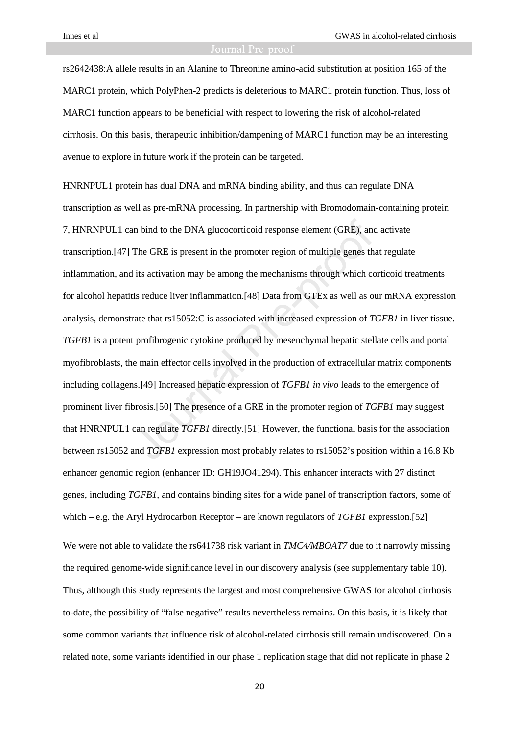rs2642438:A allele results in an Alanine to Threonine amino-acid substitution at position 165 of the MARC1 protein, which PolyPhen-2 predicts is deleterious to MARC1 protein function. Thus, loss of MARC1 function appears to be beneficial with respect to lowering the risk of alcohol-related cirrhosis. On this basis, therapeutic inhibition/dampening of MARC1 function may be an interesting avenue to explore in future work if the protein can be targeted.

HNRNPUL1 protein has dual DNA and mRNA binding ability, and thus can regulate DNA transcription as well as pre-mRNA processing. In partnership with Bromodomain-containing protein 7, HNRNPUL1 can bind to the DNA glucocorticoid response element (GRE), and activate transcription.[47] The GRE is present in the promoter region of multiple genes that regulate inflammation, and its activation may be among the mechanisms through which corticoid treatments for alcohol hepatitis reduce liver inflammation.[48] Data from GTEx as well as our mRNA expression analysis, demonstrate that rs15052:C is associated with increased expression of *TGFB1* in liver tissue. *TGFB1* is a potent profibrogenic cytokine produced by mesenchymal hepatic stellate cells and portal myofibroblasts, the main effector cells involved in the production of extracellular matrix components including collagens.[49] Increased hepatic expression of *TGFB1 in vivo* leads to the emergence of prominent liver fibrosis.[50] The presence of a GRE in the promoter region of *TGFB1* may suggest that HNRNPUL1 can regulate *TGFB1* directly.[51] However, the functional basis for the association between rs15052 and *TGFB1* expression most probably relates to rs15052's position within a 16.8 Kb enhancer genomic region (enhancer ID: GH19JO41294). This enhancer interacts with 27 distinct genes, including *TGFB1,* and contains binding sites for a wide panel of transcription factors, some of which – e.g. the Aryl Hydrocarbon Receptor – are known regulators of *TGFB1* expression.[52]

We were not able to validate the rs641738 risk variant in *TMC4/MBOAT7* due to it narrowly missing the required genome-wide significance level in our discovery analysis (see supplementary table 10). Thus, although this study represents the largest and most comprehensive GWAS for alcohol cirrhosis to-date, the possibility of "false negative" results nevertheless remains. On this basis, it is likely that some common variants that influence risk of alcohol-related cirrhosis still remain undiscovered. On a related note, some variants identified in our phase 1 replication stage that did not replicate in phase 2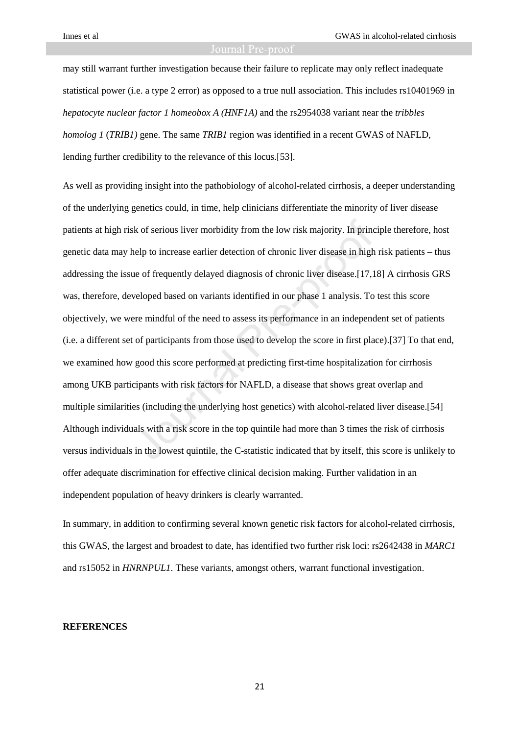may still warrant further investigation because their failure to replicate may only reflect inadequate statistical power (i.e. a type 2 error) as opposed to a true null association. This includes rs10401969 in *hepatocyte nuclear factor 1 homeobox A (HNF1A)* and the rs2954038 variant near the *tribbles homolog 1* (*TRIB1)* gene. The same *TRIB1* region was identified in a recent GWAS of NAFLD, lending further credibility to the relevance of this locus.[53].

As well as providing insight into the pathobiology of alcohol-related cirrhosis, a deeper understanding of the underlying genetics could, in time, help clinicians differentiate the minority of liver disease patients at high risk of serious liver morbidity from the low risk majority. In principle therefore, host genetic data may help to increase earlier detection of chronic liver disease in high risk patients – thus addressing the issue of frequently delayed diagnosis of chronic liver disease.[17,18] A cirrhosis GRS was, therefore, developed based on variants identified in our phase 1 analysis. To test this score objectively, we were mindful of the need to assess its performance in an independent set of patients (i.e. a different set of participants from those used to develop the score in first place).[37] To that end, we examined how good this score performed at predicting first-time hospitalization for cirrhosis among UKB participants with risk factors for NAFLD, a disease that shows great overlap and multiple similarities (including the underlying host genetics) with alcohol-related liver disease.[54] Although individuals with a risk score in the top quintile had more than 3 times the risk of cirrhosis versus individuals in the lowest quintile, the C-statistic indicated that by itself, this score is unlikely to offer adequate discrimination for effective clinical decision making. Further validation in an independent population of heavy drinkers is clearly warranted.

In summary, in addition to confirming several known genetic risk factors for alcohol-related cirrhosis, this GWAS, the largest and broadest to date, has identified two further risk loci: rs2642438 in *MARC1* and rs15052 in *HNRNPUL1*. These variants, amongst others, warrant functional investigation.

### **REFERENCES**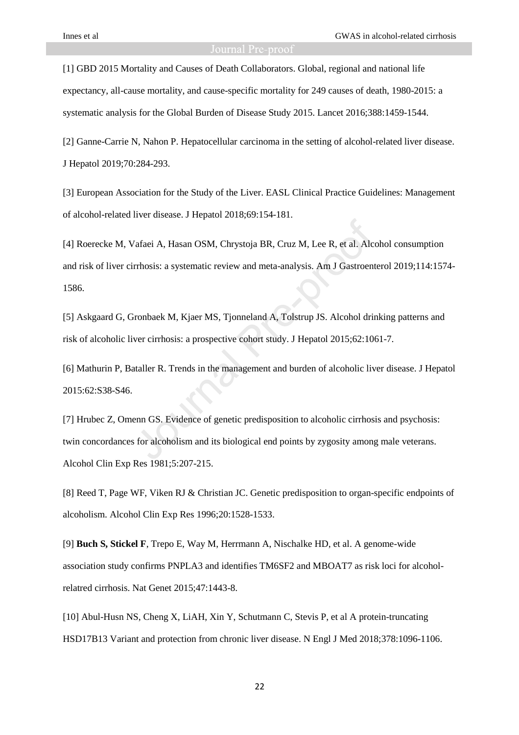### Journal Pre-proof

[1] GBD 2015 Mortality and Causes of Death Collaborators. Global, regional and national life expectancy, all-cause mortality, and cause-specific mortality for 249 causes of death, 1980-2015: a systematic analysis for the Global Burden of Disease Study 2015. Lancet 2016;388:1459-1544.

[2] Ganne-Carrie N, Nahon P. Hepatocellular carcinoma in the setting of alcohol-related liver disease. J Hepatol 2019;70:284-293.

[3] European Association for the Study of the Liver. EASL Clinical Practice Guidelines: Management of alcohol-related liver disease. J Hepatol 2018;69:154-181.

[4] Roerecke M, Vafaei A, Hasan OSM, Chrystoja BR, Cruz M, Lee R, et al. Alcohol consumption and risk of liver cirrhosis: a systematic review and meta-analysis. Am J Gastroenterol 2019;114:1574- 1586.

[5] Askgaard G, Gronbaek M, Kjaer MS, Tjonneland A, Tolstrup JS. Alcohol drinking patterns and risk of alcoholic liver cirrhosis: a prospective cohort study. J Hepatol 2015;62:1061-7.

[6] Mathurin P, Bataller R. Trends in the management and burden of alcoholic liver disease. J Hepatol 2015:62:S38-S46.

[7] Hrubec Z, Omenn GS. Evidence of genetic predisposition to alcoholic cirrhosis and psychosis: twin concordances for alcoholism and its biological end points by zygosity among male veterans. Alcohol Clin Exp Res 1981;5:207-215.

[8] Reed T, Page WF, Viken RJ & Christian JC. Genetic predisposition to organ-specific endpoints of alcoholism. Alcohol Clin Exp Res 1996;20:1528-1533.

[9] **Buch S, Stickel F**, Trepo E, Way M, Herrmann A, Nischalke HD, et al. A genome-wide association study confirms PNPLA3 and identifies TM6SF2 and MBOAT7 as risk loci for alcoholrelatred cirrhosis. Nat Genet 2015;47:1443-8.

[10] Abul-Husn NS, Cheng X, LiAH, Xin Y, Schutmann C, Stevis P, et al A protein-truncating HSD17B13 Variant and protection from chronic liver disease. N Engl J Med 2018;378:1096-1106.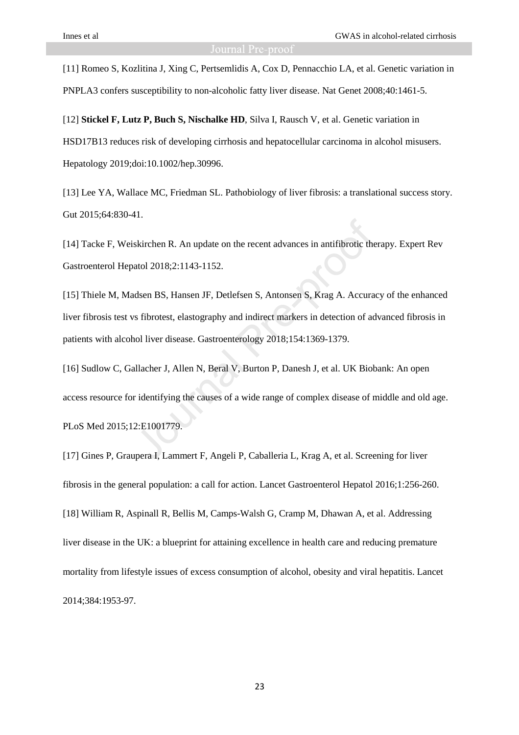[11] Romeo S, Kozlitina J, Xing C, Pertsemlidis A, Cox D, Pennacchio LA, et al. Genetic variation in PNPLA3 confers susceptibility to non-alcoholic fatty liver disease. Nat Genet 2008;40:1461-5.

[12] **Stickel F, Lutz P, Buch S, Nischalke HD**, Silva I, Rausch V, et al. Genetic variation in HSD17B13 reduces risk of developing cirrhosis and hepatocellular carcinoma in alcohol misusers. Hepatology 2019;doi:10.1002/hep.30996.

[13] Lee YA, Wallace MC, Friedman SL. Pathobiology of liver fibrosis: a translational success story. Gut 2015;64:830-41.

[14] Tacke F, Weiskirchen R. An update on the recent advances in antifibrotic therapy. Expert Rev Gastroenterol Hepatol 2018;2:1143-1152.

[15] Thiele M, Madsen BS, Hansen JF, Detlefsen S, Antonsen S, Krag A. Accuracy of the enhanced liver fibrosis test vs fibrotest, elastography and indirect markers in detection of advanced fibrosis in patients with alcohol liver disease. Gastroenterology 2018;154:1369-1379.

[16] Sudlow C, Gallacher J, Allen N, Beral V, Burton P, Danesh J, et al. UK Biobank: An open access resource for identifying the causes of a wide range of complex disease of middle and old age. PLoS Med 2015;12:E1001779.

[17] Gines P, Graupera I, Lammert F, Angeli P, Caballeria L, Krag A, et al. Screening for liver fibrosis in the general population: a call for action. Lancet Gastroenterol Hepatol 2016;1:256-260. [18] William R, Aspinall R, Bellis M, Camps-Walsh G, Cramp M, Dhawan A, et al. Addressing liver disease in the UK: a blueprint for attaining excellence in health care and reducing premature mortality from lifestyle issues of excess consumption of alcohol, obesity and viral hepatitis. Lancet 2014;384:1953-97.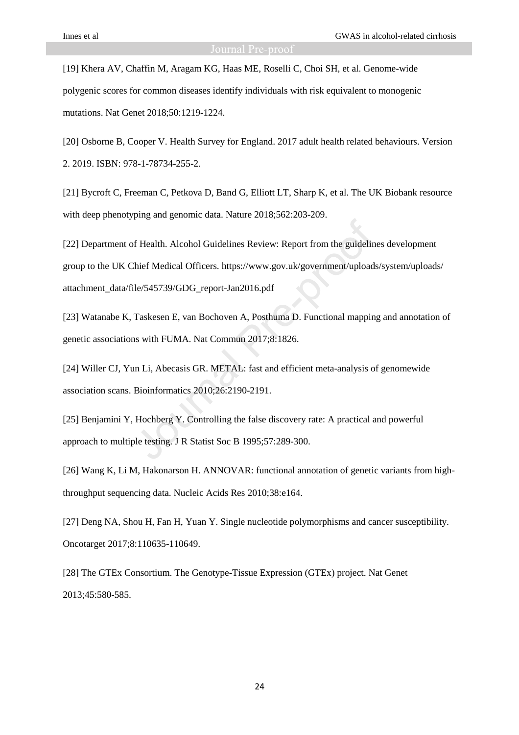### Journal Pre-proof

[19] Khera AV, Chaffin M, Aragam KG, Haas ME, Roselli C, Choi SH, et al. Genome-wide polygenic scores for common diseases identify individuals with risk equivalent to monogenic mutations. Nat Genet 2018;50:1219-1224.

[20] Osborne B, Cooper V. Health Survey for England. 2017 adult health related behaviours. Version 2. 2019. ISBN: 978-1-78734-255-2.

[21] Bycroft C, Freeman C, Petkova D, Band G, Elliott LT, Sharp K, et al. The UK Biobank resource with deep phenotyping and genomic data. Nature 2018;562:203-209.

[22] Department of Health. Alcohol Guidelines Review: Report from the guidelines development group to the UK Chief Medical Officers. https://www.gov.uk/government/uploads/system/uploads/ attachment\_data/file/545739/GDG\_report-Jan2016.pdf

[23] Watanabe K, Taskesen E, van Bochoven A, Posthuma D. Functional mapping and annotation of genetic associations with FUMA. Nat Commun 2017;8:1826.

[24] Willer CJ, Yun Li, Abecasis GR. METAL: fast and efficient meta-analysis of genomewide association scans. Bioinformatics 2010;26:2190-2191.

[25] Benjamini Y, Hochberg Y. Controlling the false discovery rate: A practical and powerful approach to multiple testing. J R Statist Soc B 1995;57:289-300.

[26] Wang K, Li M, Hakonarson H. ANNOVAR: functional annotation of genetic variants from highthroughput sequencing data. Nucleic Acids Res 2010;38:e164.

[27] Deng NA, Shou H, Fan H, Yuan Y. Single nucleotide polymorphisms and cancer susceptibility. Oncotarget 2017;8:110635-110649.

[28] The GTEx Consortium. The Genotype-Tissue Expression (GTEx) project. Nat Genet 2013;45:580-585.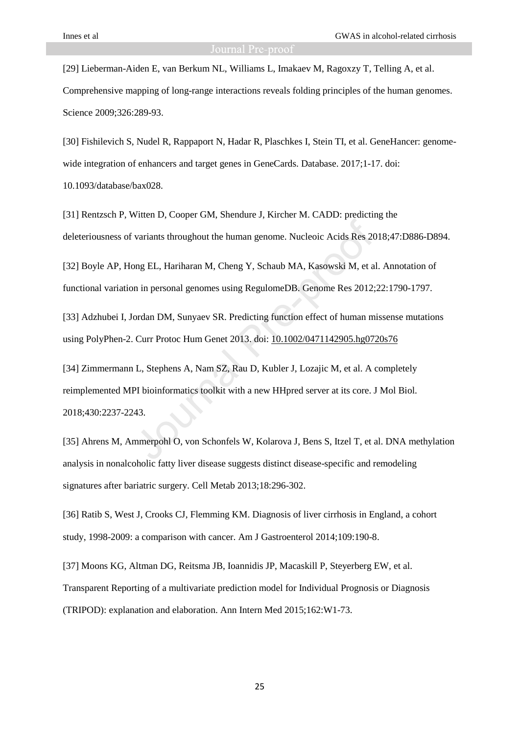[29] Lieberman-Aiden E, van Berkum NL, Williams L, Imakaev M, Ragoxzy T, Telling A, et al. Comprehensive mapping of long-range interactions reveals folding principles of the human genomes. Science 2009;326:289-93.

[30] Fishilevich S, Nudel R, Rappaport N, Hadar R, Plaschkes I, Stein TI, et al. GeneHancer: genomewide integration of enhancers and target genes in GeneCards. Database. 2017;1-17. doi: 10.1093/database/bax028.

[31] Rentzsch P, Witten D, Cooper GM, Shendure J, Kircher M. CADD: predicting the deleteriousness of variants throughout the human genome. Nucleoic Acids Res 2018;47:D886-D894.

[32] Boyle AP, Hong EL, Hariharan M, Cheng Y, Schaub MA, Kasowski M, et al. Annotation of functional variation in personal genomes using RegulomeDB. Genome Res 2012;22:1790-1797.

[33] Adzhubei I, Jordan DM, Sunyaev SR. Predicting function effect of human missense mutations using PolyPhen-2. Curr Protoc Hum Genet 2013. doi: 10.1002/0471142905.hg0720s76

[34] Zimmermann L, Stephens A, Nam SZ, Rau D, Kubler J, Lozajic M, et al. A completely reimplemented MPI bioinformatics toolkit with a new HHpred server at its core. J Mol Biol. 2018;430:2237-2243.

[35] Ahrens M, Ammerpohl O, von Schonfels W, Kolarova J, Bens S, Itzel T, et al. DNA methylation analysis in nonalcoholic fatty liver disease suggests distinct disease-specific and remodeling signatures after bariatric surgery. Cell Metab 2013;18:296-302.

[36] Ratib S, West J, Crooks CJ, Flemming KM. Diagnosis of liver cirrhosis in England, a cohort study, 1998-2009: a comparison with cancer. Am J Gastroenterol 2014;109:190-8.

[37] Moons KG, Altman DG, Reitsma JB, Ioannidis JP, Macaskill P, Steyerberg EW, et al. Transparent Reporting of a multivariate prediction model for Individual Prognosis or Diagnosis (TRIPOD): explanation and elaboration. Ann Intern Med 2015;162:W1-73.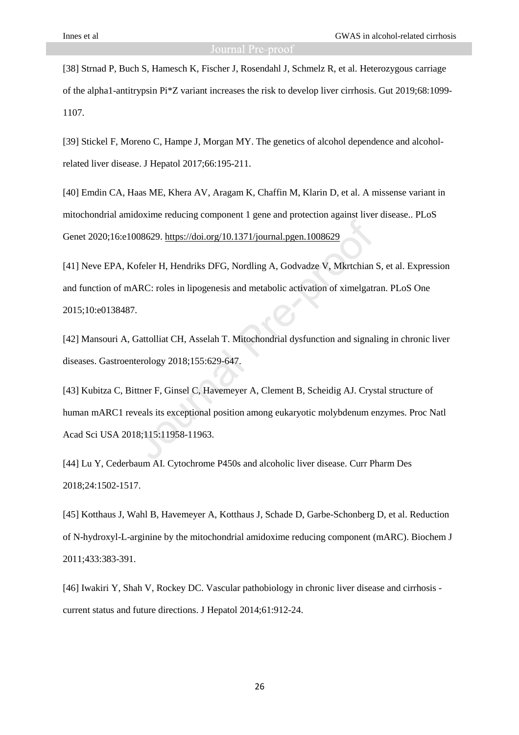[38] Strnad P, Buch S, Hamesch K, Fischer J, Rosendahl J, Schmelz R, et al. Heterozygous carriage of the alpha1-antitrypsin Pi\*Z variant increases the risk to develop liver cirrhosis. Gut 2019;68:1099- 1107.

[39] Stickel F, Moreno C, Hampe J, Morgan MY. The genetics of alcohol dependence and alcoholrelated liver disease. J Hepatol 2017;66:195-211.

[40] Emdin CA, Haas ME, Khera AV, Aragam K, Chaffin M, Klarin D, et al. A missense variant in mitochondrial amidoxime reducing component 1 gene and protection against liver disease.. PLoS Genet 2020;16:e1008629. https://doi.org/10.1371/journal.pgen.1008629

[41] Neve EPA, Kofeler H, Hendriks DFG, Nordling A, Godvadze V, Mkrtchian S, et al. Expression and function of mARC: roles in lipogenesis and metabolic activation of ximelgatran. PLoS One 2015;10:e0138487.

[42] Mansouri A, Gattolliat CH, Asselah T. Mitochondrial dysfunction and signaling in chronic liver diseases. Gastroenterology 2018;155:629-647.

[43] Kubitza C, Bittner F, Ginsel C, Havemeyer A, Clement B, Scheidig AJ. Crystal structure of human mARC1 reveals its exceptional position among eukaryotic molybdenum enzymes. Proc Natl Acad Sci USA 2018;115:11958-11963.

[44] Lu Y, Cederbaum AI. Cytochrome P450s and alcoholic liver disease. Curr Pharm Des 2018;24:1502-1517.

[45] Kotthaus J, Wahl B, Havemeyer A, Kotthaus J, Schade D, Garbe-Schonberg D, et al. Reduction of N-hydroxyl-L-arginine by the mitochondrial amidoxime reducing component (mARC). Biochem J 2011;433:383-391.

[46] Iwakiri Y, Shah V, Rockey DC. Vascular pathobiology in chronic liver disease and cirrhosis current status and future directions. J Hepatol 2014;61:912-24.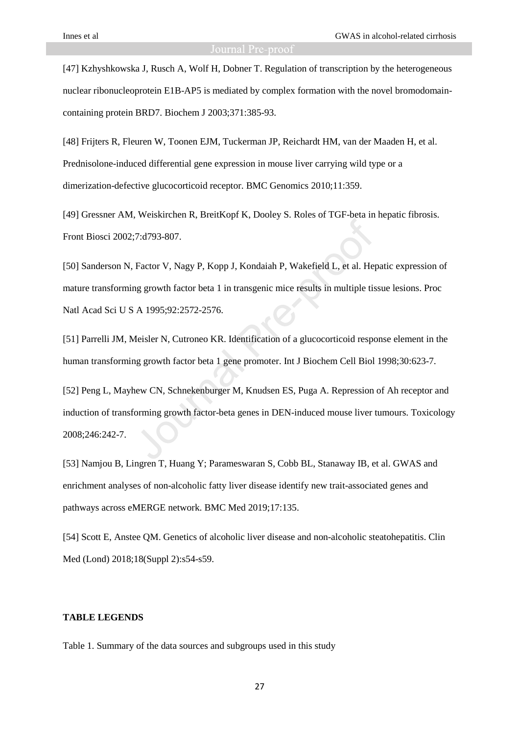### Journal Pre-proof

[47] Kzhyshkowska J, Rusch A, Wolf H, Dobner T. Regulation of transcription by the heterogeneous nuclear ribonucleoprotein E1B-AP5 is mediated by complex formation with the novel bromodomaincontaining protein BRD7. Biochem J 2003;371:385-93.

[48] Frijters R, Fleuren W, Toonen EJM, Tuckerman JP, Reichardt HM, van der Maaden H, et al. Prednisolone-induced differential gene expression in mouse liver carrying wild type or a dimerization-defective glucocorticoid receptor. BMC Genomics 2010;11:359.

[49] Gressner AM, Weiskirchen R, BreitKopf K, Dooley S. Roles of TGF-beta in hepatic fibrosis. Front Biosci 2002;7:d793-807.

[50] Sanderson N, Factor V, Nagy P, Kopp J, Kondaiah P, Wakefield L, et al. Hepatic expression of mature transforming growth factor beta 1 in transgenic mice results in multiple tissue lesions. Proc Natl Acad Sci U S A 1995;92:2572-2576.

[51] Parrelli JM, Meisler N, Cutroneo KR. Identification of a glucocorticoid response element in the human transforming growth factor beta 1 gene promoter. Int J Biochem Cell Biol 1998;30:623-7.

[52] Peng L, Mayhew CN, Schnekenburger M, Knudsen ES, Puga A. Repression of Ah receptor and induction of transforming growth factor-beta genes in DEN-induced mouse liver tumours. Toxicology 2008;246:242-7.

[53] Namjou B, Lingren T, Huang Y; Parameswaran S, Cobb BL, Stanaway IB, et al. GWAS and enrichment analyses of non-alcoholic fatty liver disease identify new trait-associated genes and pathways across eMERGE network. BMC Med 2019;17:135.

[54] Scott E, Anstee QM. Genetics of alcoholic liver disease and non-alcoholic steatohepatitis. Clin Med (Lond) 2018;18(Suppl 2):s54-s59.

#### **TABLE LEGENDS**

Table 1. Summary of the data sources and subgroups used in this study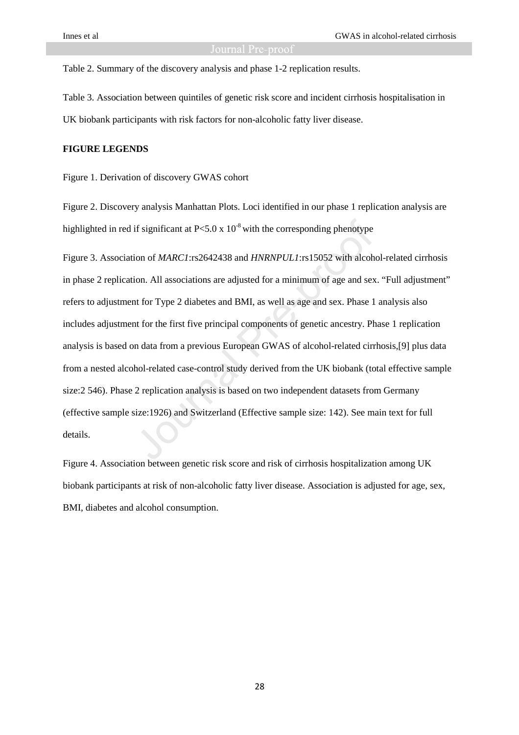Table 2. Summary of the discovery analysis and phase 1-2 replication results.

Table 3. Association between quintiles of genetic risk score and incident cirrhosis hospitalisation in UK biobank participants with risk factors for non-alcoholic fatty liver disease.

### **FIGURE LEGENDS**

Figure 1. Derivation of discovery GWAS cohort

Figure 2. Discovery analysis Manhattan Plots. Loci identified in our phase 1 replication analysis are highlighted in red if significant at  $P \le 5.0 \times 10^{-8}$  with the corresponding phenotype

Figure 3. Association of *MARC1*:rs2642438 and *HNRNPUL1*:rs15052 with alcohol-related cirrhosis in phase 2 replication. All associations are adjusted for a minimum of age and sex. "Full adjustment" refers to adjustment for Type 2 diabetes and BMI, as well as age and sex. Phase 1 analysis also includes adjustment for the first five principal components of genetic ancestry. Phase 1 replication analysis is based on data from a previous European GWAS of alcohol-related cirrhosis,[9] plus data from a nested alcohol-related case-control study derived from the UK biobank (total effective sample size:2 546). Phase 2 replication analysis is based on two independent datasets from Germany (effective sample size:1926) and Switzerland (Effective sample size: 142). See main text for full details.

Figure 4. Association between genetic risk score and risk of cirrhosis hospitalization among UK biobank participants at risk of non-alcoholic fatty liver disease. Association is adjusted for age, sex, BMI, diabetes and alcohol consumption.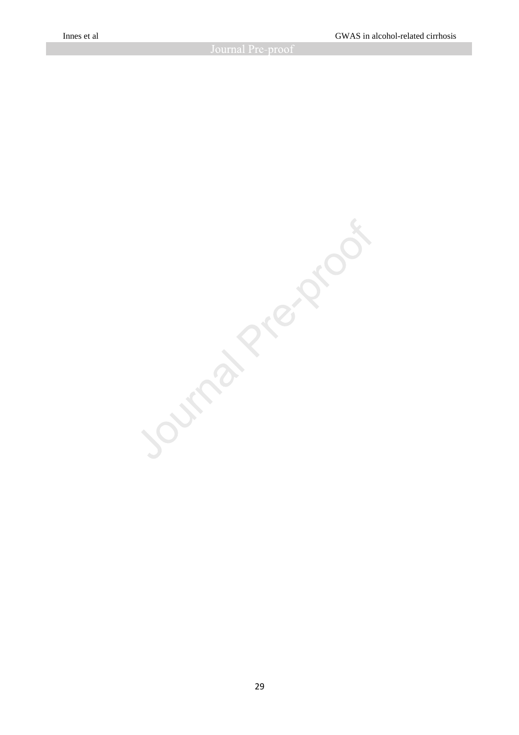Journal Project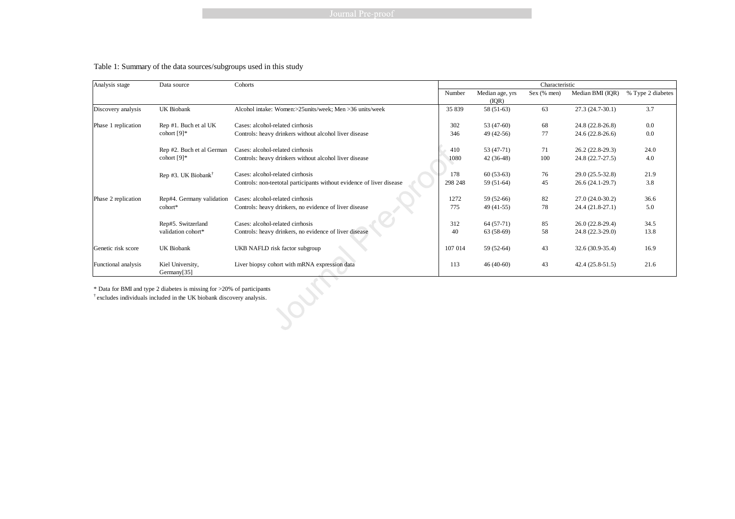### Table 1: Summary of the data sources/subgroups used in this study

| Analysis stage      | Data source                     | Cohorts                                                               |         |                 | Characteristic |                   |                   |
|---------------------|---------------------------------|-----------------------------------------------------------------------|---------|-----------------|----------------|-------------------|-------------------|
|                     |                                 |                                                                       | Number  | Median age, yrs | Sex (% men)    | Median BMI (IQR)  | % Type 2 diabetes |
|                     |                                 |                                                                       |         | (IQR)           |                |                   |                   |
| Discovery analysis  | UK Biobank                      | Alcohol intake: Women:>25units/week; Men >36 units/week               | 35 839  | $58(51-63)$     | 63             | 27.3 (24.7-30.1)  | 3.7               |
| Phase 1 replication | Rep #1. Buch et al UK           | Cases: alcohol-related cirrhosis                                      | 302     | 53 (47-60)      | 68             | 24.8 (22.8-26.8)  | 0.0               |
|                     | cohort $[9]*$                   | Controls: heavy drinkers without alcohol liver disease                | 346     | 49 (42-56)      | 77             | 24.6 (22.8-26.6)  | 0.0               |
|                     | Rep #2. Buch et al German       | Cases: alcohol-related cirrhosis                                      | 410     | $53(47-71)$     | 71             | 26.2 (22.8-29.3)  | 24.0              |
|                     | cohort $[9]*$                   | Controls: heavy drinkers without alcohol liver disease                | 1080    | $42(36-48)$     | 100            | 24.8 (22.7-27.5)  | 4.0               |
|                     | Rep #3. UK Biobank $^{\dagger}$ | Cases: alcohol-related cirrhosis                                      | 178     | $60(53-63)$     | 76             | 29.0 (25.5-32.8)  | 21.9              |
|                     |                                 | Controls: non-teetotal participants without evidence of liver disease | 298 248 | $59(51-64)$     | 45             | 26.6 (24.1-29.7)  | 3.8               |
| Phase 2 replication | Rep#4. Germany validation       | Cases: alcohol-related cirrhosis                                      | 1272    | 59 (52-66)      | 82             | 27.0 (24.0-30.2)  | 36.6              |
|                     | cohort*                         | Controls: heavy drinkers, no evidence of liver disease                | 775     | $49(41-55)$     | 78             | 24.4 (21.8-27.1)  | 5.0               |
|                     | Rep#5. Switzerland              | Cases: alcohol-related cirrhosis                                      | 312     | $64(57-71)$     | 85             | $26.0(22.8-29.4)$ | 34.5              |
|                     | validation cohort*              | Controls: heavy drinkers, no evidence of liver disease                | 40      | $63(58-69)$     | 58             | 24.8 (22.3-29.0)  | 13.8              |
| Genetic risk score  | UK Biobank                      | UKB NAFLD risk factor subgroup                                        | 107 014 | 59 (52-64)      | 43             | 32.6 (30.9-35.4)  | 16.9              |
| Functional analysis | Kiel University,<br>Germany[35] | Liver biopsy cohort with mRNA expression data                         | 113     | $46(40-60)$     | 43             | $42.4(25.8-51.5)$ | 21.6              |

\* Data for BMI and type 2 diabetes is missing for >20% of participants † excludes individuals included in the UK biobank discovery analysis.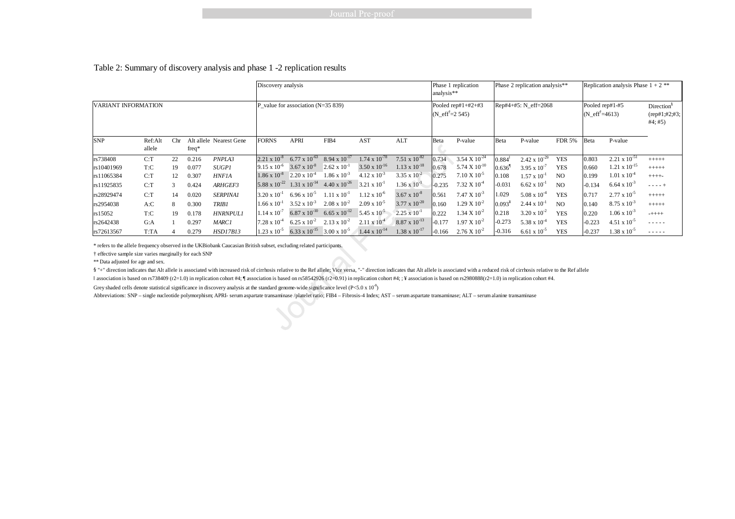|  | Table 2: Summary of discovery analysis and phase 1 -2 replication results |  |  |  |  |
|--|---------------------------------------------------------------------------|--|--|--|--|
|--|---------------------------------------------------------------------------|--|--|--|--|

|                            |                   |     |                                      |                         | Discovery analysis    |                                                                        |                        |                           |                        | Phase 1 replication<br>Phase 2 replication analysis**<br>analysis** |                                                       |                      | Replication analysis Phase $1 + 2$ **                |                |          |                        |                                                                                                                                      |
|----------------------------|-------------------|-----|--------------------------------------|-------------------------|-----------------------|------------------------------------------------------------------------|------------------------|---------------------------|------------------------|---------------------------------------------------------------------|-------------------------------------------------------|----------------------|------------------------------------------------------|----------------|----------|------------------------|--------------------------------------------------------------------------------------------------------------------------------------|
| <b>VARIANT INFORMATION</b> |                   |     | P value for association $(N=35 839)$ |                         |                       | Pooled $rep#1+#2+#3$<br>(N eff <sup><math>\dagger</math></sup> =2 545) |                        | $Rep#4 + #5$ : N eff=2068 |                        |                                                                     | Pooled rep#1-#5<br>(N $\text{eff}^{\dagger} = 4613$ ) |                      | Direction <sup>s</sup><br>(rep#1; #2; #3;<br>#4; #5) |                |          |                        |                                                                                                                                      |
| <b>SNP</b>                 | Ref:Alt<br>allele | Chr | $freq*$                              | Alt allele Nearest Gene | <b>FORNS</b>          | <b>APRI</b>                                                            | FIB4                   | AST                       | <b>ALT</b>             | Beta                                                                | P-value                                               | Beta                 | P-value                                              | <b>FDR 5%</b>  | Beta     | P-value                |                                                                                                                                      |
| rs738408                   | C: T              | 22  | 0.216                                | PNPLA3                  | $2.21 \times 10^{-8}$ | $6.77 \times 10^{-63}$                                                 | $8.94 \times 10^{-17}$ | $1.74 \times 10^{-78}$    | $7.51 \times 10^{-82}$ | 0.734                                                               | 3.54 X $10^{-24}$                                     | $0.884$ <sup>t</sup> | $2.42 \times 10^{-29}$                               | <b>YES</b>     | 0.803    | $2.21 \times 10^{-51}$ | $+++++$                                                                                                                              |
| rs10401969                 | T:C               | 19  | 0.077                                | <b>SUGP1</b>            | $9.15 \times 10^{-6}$ | $3.67 \times 10^{-8}$                                                  | $2.62 \times 10^{-1}$  | $3.50 \times 10^{-16}$    | $1.13 \times 10^{-18}$ | 0.678                                                               | 5.74 X $10^{-10}$                                     | $0.636$ <sup>1</sup> | $3.95 \times 10^{-7}$                                | <b>YES</b>     | 0.660    | $1.21 \times 10^{-15}$ | $+++++$                                                                                                                              |
| rs11065384                 | C: T              | 12  | 0.307                                | <b>HNF1A</b>            | $1.86 \times 10^{-8}$ | $2.20 \times 10^{-4}$                                                  | $1.86 \times 10^{-3}$  | $4.12 \times 10^{-3}$     | 3.35 x $10^{-2}$       | 0.275                                                               | $7.10 \times 10^{-5}$                                 | 0.108                | $1.57 \times 10^{-1}$                                | N <sub>O</sub> | 0.199    | $1.01 \times 10^{-4}$  | $++++-$                                                                                                                              |
| rs11925835                 | C: T              | 3   | 0.424                                | ARHGEF3                 |                       | $5.88 \times 10^{-22}$ 1.31 x 10 <sup>-14</sup>                        | $4.40 \times 10^{-26}$ | $3.21 \times 10^{-1}$     | $1.36 \times 10^{-1}$  | $-0.235$                                                            | $7.32 \times 10^{-4}$                                 | $-0.031$             | $6.62 \times 10^{-1}$                                | N <sub>O</sub> | $-0.134$ | 6.64 x $10^{-3}$       | $- - - - +$                                                                                                                          |
| rs28929474                 | C: T              | 14  | 0.020                                | <b>SERPINA1</b>         | $3.20 \times 10^{-1}$ | $6.96 \times 10^{-5}$                                                  | $1.11 \times 10^{-1}$  | $1.12 \times 10^{-6}$     | $3.67 \times 10^{-8}$  | 0.561                                                               | $7.47 \times 10^{-3}$                                 | 1.029                | $5.08 \times 10^{-4}$                                | <b>YES</b>     | 0.717    | $2.77 \times 10^{-5}$  | $+++++$                                                                                                                              |
| rs2954038                  | A:C               | 8   | 0.300                                | <b>TRIB1</b>            | $1.66 \times 10^{-1}$ | $3.52 \times 10^{-3}$                                                  | $2.08 \times 10^{-2}$  | $2.09 \times 10^{-5}$     | $3.77 \times 10^{-20}$ | 0.160                                                               | $1.29 \times 10^{-2}$                                 | $0.093*$             | $2.44 \times 10^{-1}$                                | N <sub>O</sub> | 0.140    | $8.75 \times 10^{-3}$  | $+++++$                                                                                                                              |
| rs15052                    | T:C               | 19  | 0.178                                | <b>HNRNPUL1</b>         | $1.14 \times 10^{-7}$ | 6.87 x $10^{-10}$                                                      | 6.65 x $10^{-12}$      | $5.45 \times 10^{-5}$     | $2.25 \times 10^{-1}$  | 0.222                                                               | $1.34 \times 10^{-2}$                                 | 0.218                | $3.20 \times 10^{-2}$                                | <b>YES</b>     | 0.220    | $1.06 \times 10^{-3}$  | $-++++$                                                                                                                              |
| rs2642438                  | G:A               |     | 0.297                                | <b>MARC1</b>            | $7.28 \times 10^{-4}$ | $6.25 \times 10^{-2}$                                                  | 2.13 x $10^{-2}$       | $2.11 \times 10^{-4}$     | $8.87 \times 10^{-13}$ | $-0.177$                                                            | $1.97 \times 10^{-2}$                                 | $-0.273$             | 5.38 x $10^{-4}$                                     | <b>YES</b>     | $-0.223$ | $4.51 \times 10^{-5}$  | $\mathcal{L}^{\mathcal{A}}\left( \mathcal{A}^{\mathcal{A}}\right) =\mathcal{L}^{\mathcal{A}}\left( \mathcal{A}^{\mathcal{A}}\right)$ |
| rs72613567                 | T:TA              |     | 0.279                                | <b>HSD17B13</b>         | $1.23 \times 10^{-5}$ | $6.33 \times 10^{-15}$                                                 | $3.00 \times 10^{-5}$  | $1.44 \times 10^{-14}$    | $1.38 \times 10^{-17}$ | $-0.166$                                                            | $2.76 \times 10^{-2}$                                 | $-0.316$             | $6.61 \times 10^{-5}$                                | <b>YES</b>     | $-0.237$ | $1.38 \times 10^{-5}$  | $- - - - - -$                                                                                                                        |

\* refers to the allele frequency observed in the UKBiobank Caucasian British subset, excluding related participants.

† effective sample size varies marginally for each SNP

\*\* Data adjusted for age and sex.

§ "+" direction indicates that Alt allele is associated with increased risk of cirrhosis relative to the Ref allele; Vice versa, "-" direction indicates that Alt allele is associated with a reduced risk of cirrhosis relati

 $\mu$  association is based on rs738409 (r2=1.0) in replication cohort #4; ¶ association is based on rs58542926 (r2=0.91) in replication cohort #4; ; ¥ association is based on rs2980888(r2=1.0) in replication cohort #4.

Grey shaded cells denote statistical significance in discovery analysis at the standard genome-wide significance level ( $P < 5.0 \times 10^{-8}$ )

Abbreviations: SNP – single nucleotide polymorphism; APRI- serum aspartate transaminase /platelet ratio; FIB4 – Fibrosis-4 Index; AST – serum aspartate transaminase; ALT – serum alanine transaminase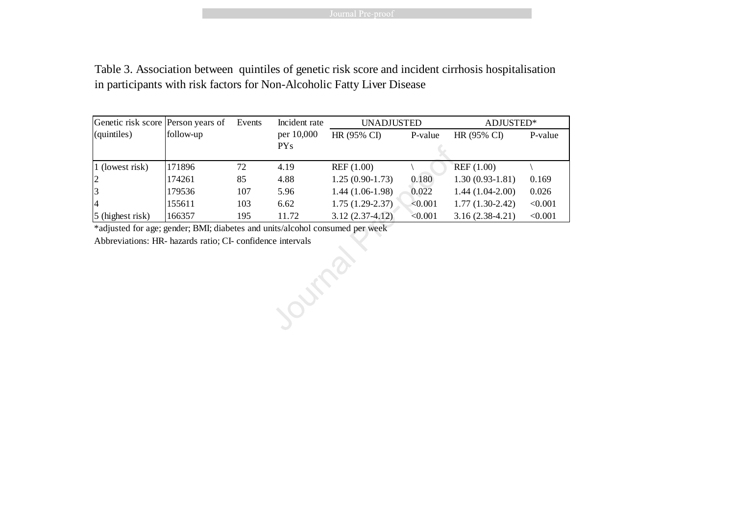|  |  | Journal P <del>re-proot</del> |  |  |  |  |
|--|--|-------------------------------|--|--|--|--|
|  |  |                               |  |  |  |  |

Table 3. Association between quintiles of genetic risk score and incident cirrhosis hospitalisation in participants with risk factors for Non-Alcoholic Fatty Liver Disease

| Genetic risk score Person years of |           | Events | Incident rate | <b>UNADJUSTED</b> |         | ADJUSTED*         |         |  |
|------------------------------------|-----------|--------|---------------|-------------------|---------|-------------------|---------|--|
| (quintiles)                        | follow-up |        | per 10,000    | HR (95% CI)       | P-value | HR (95% CI)       | P-value |  |
|                                    |           |        | PYS           |                   |         |                   |         |  |
| 1 (lowest risk)                    | 171896    | 72     | 4.19          | REF(1.00)         |         | REF(1.00)         |         |  |
| 2                                  | 174261    | 85     | 4.88          | $1.25(0.90-1.73)$ | 0.180   | $1.30(0.93-1.81)$ | 0.169   |  |
| $\overline{3}$                     | 179536    | 107    | 5.96          | $1.44(1.06-1.98)$ | 0.022   | $1.44(1.04-2.00)$ | 0.026   |  |
| $\overline{4}$                     | 155611    | 103    | 6.62          | $1.75(1.29-2.37)$ | < 0.001 | $1.77(1.30-2.42)$ | < 0.001 |  |
| $5$ (highest risk)                 | 166357    | 195    | 11.72         | $3.12(2.37-4.12)$ | < 0.001 | $3.16(2.38-4.21)$ | < 0.001 |  |

\*adjusted for age; gender; BMI; diabetes and units/alcohol consumed per week

Abbreviations: HR- hazards ratio; CI- confidence intervals

**Purited**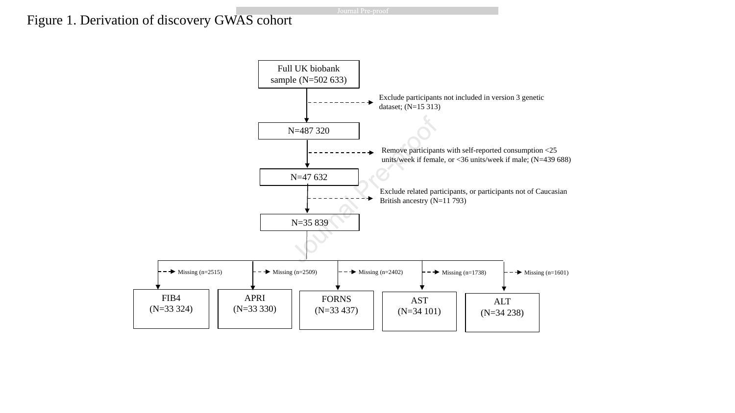## Figure 1. Derivation of discovery GWAS cohort

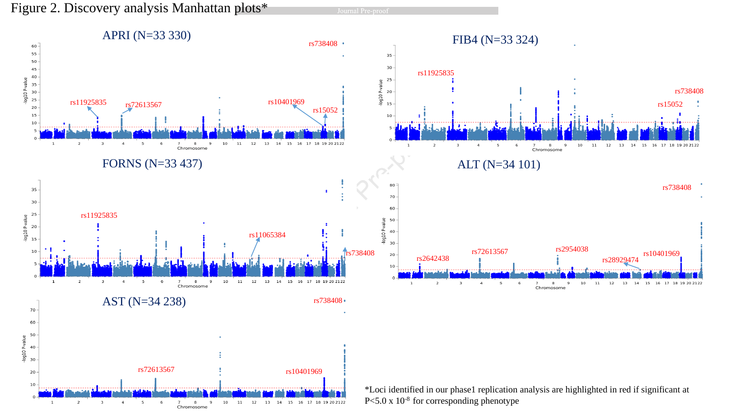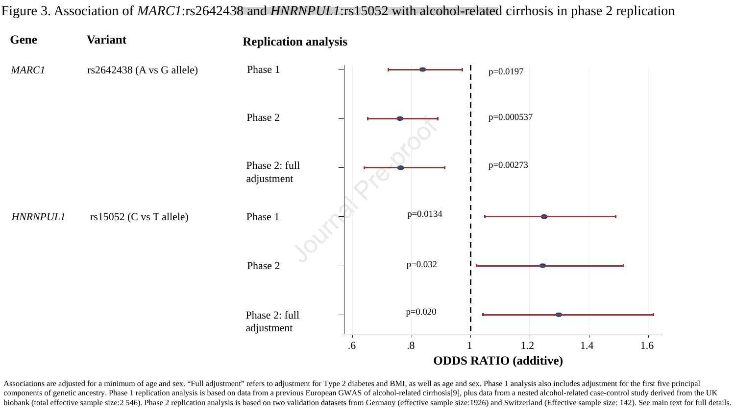Figure 3. Association of *MARC1*:rs2642438 and *HNRNPUL1*:rs15052 with alcohol-related cirrhosis in phase 2 replication



Associations are adjusted for a minimum of age and sex. "Full adjustment" refers to adjustment for Type 2 diabetes and BMI, as well as age and sex. Phase 1 analysis also includes adjustment for the first five principal components of genetic ancestry. Phase 1 replication analysis is based on data from a previous European GWAS of alcohol-related cirrhosis[9], plus data from a nested alcohol-related case-control study derived from the UK biobank (total effective sample size:2 546). Phase 2 replication analysis is based on two validation datasets from Germany (effective sample size:1926) and Switzerland (Effective sample size: 142). See main text for full d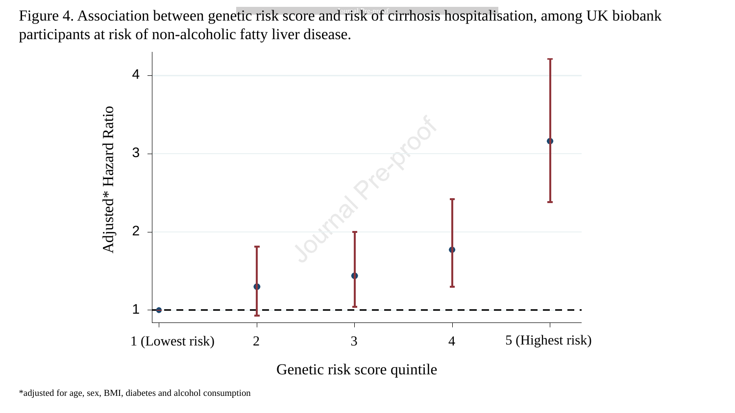Figure 4. Association between genetic risk score and risk of cirrhosis hospitalisation, among UK biobank participants at risk of non-alcoholic fatty liver disease.